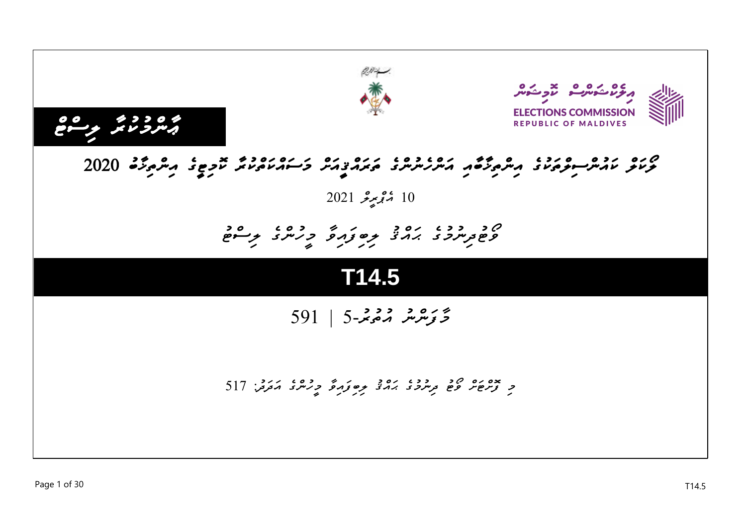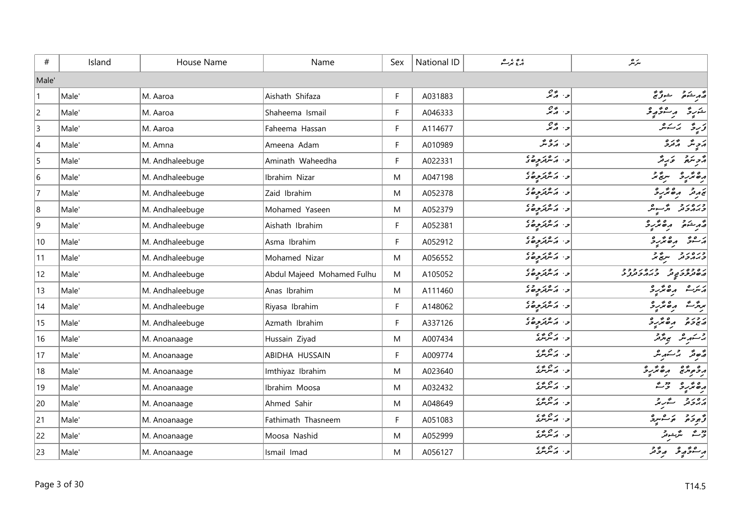| #               | Island | House Name      | Name                       | Sex       | National ID | ، ه ، مرگ                       | ىئرىتر                                                                                                                                                                                                                           |
|-----------------|--------|-----------------|----------------------------|-----------|-------------|---------------------------------|----------------------------------------------------------------------------------------------------------------------------------------------------------------------------------------------------------------------------------|
| Male'           |        |                 |                            |           |             |                                 |                                                                                                                                                                                                                                  |
|                 | Male'  | M. Aaroa        | Aishath Shifaza            | F         | A031883     | ح• مرتبط                        | وگهرڪو شورگو<br>م                                                                                                                                                                                                                |
| $\overline{2}$  | Male'  | M. Aaroa        | Shaheema Ismail            | F         | A046333     | ح• مرتبگه                       |                                                                                                                                                                                                                                  |
| $\vert$ 3       | Male'  | M. Aaroa        | Faheema Hassan             | F         | A114677     | و· مړينو                        | للمرد و و المعروفي و المعروفي المعروفي المعروفي المعروفي المعروفي المعروفي المعروفي المعروفي المعروفي المعروفي<br>كوران في المركب المركب المعروفي المعروفي المعروفي المعروفي المعروفي المعروفي المعروفي المعروفي المعروفي المعرو |
| $\vert 4$       | Male'  | M. Amna         | Ameena Adam                | F         | A010989     | ە بەر ئە                        |                                                                                                                                                                                                                                  |
| $\overline{5}$  | Male'  | M. Andhaleebuge | Aminath Waheedha           | F         | A022331     | د ۰ م <sup>ر</sup> مگرگرموه د   | مَّ حِ سَرَ مَد مِّر مَّر                                                                                                                                                                                                        |
| $6\overline{6}$ | Male'  | M. Andhaleebuge | Ibrahim Nizar              | M         | A047198     | د ۰ مگرگرفر <i>ه د</i>          | وەترىر سەر                                                                                                                                                                                                                       |
| $\vert$ 7       | Male'  | M. Andhaleebuge | Zaid Ibrahim               | M         | A052378     | د ۰ مگرگرفر <i>ه د</i>          | ىم قر مەھمىر ئ                                                                                                                                                                                                                   |
| 8               | Male'  | M. Andhaleebuge | Mohamed Yaseen             | M         | A052379     | د ۰ مگرگرفر <i>ه د</i>          | ورەر و گرسىر                                                                                                                                                                                                                     |
| 9               | Male'  | M. Andhaleebuge | Aishath Ibrahim            | F         | A052381     | د ۰ مگرگرده د                   | أقهر شوقه وهتربرد                                                                                                                                                                                                                |
| 10              | Male'  | M. Andhaleebuge | Asma Ibrahim               | F         | A052912     | د ۰ م <i>ر مرتز پر د</i> ه د    | ړ شتر د هغه د                                                                                                                                                                                                                    |
| 11              | Male'  | M. Andhaleebuge | Mohamed Nizar              | M         | A056552     | د ۰ م <i>ر مرتز پر و</i> ه د    | כנים ניביק ב                                                                                                                                                                                                                     |
| 12              | Male'  | M. Andhaleebuge | Abdul Majeed Mohamed Fulhu | ${\sf M}$ | A105052     | و· م مرتزع موضى                 | ره وه ر و د وره ر و و و<br>مصر وکوم د کرد کرد و                                                                                                                                                                                  |
| 13              | Male'  | M. Andhaleebuge | Anas Ibrahim               | ${\sf M}$ | A111460     | <sub>و: م</sub> رکز مرکز مرکز م | أرسرك مرەممرىر                                                                                                                                                                                                                   |
| 14              | Male'  | M. Andhaleebuge | Riyasa Ibrahim             | F         | A148062     | د ۰ مگرمز <i>و ۶ و ۶</i>        |                                                                                                                                                                                                                                  |
| 15              | Male'  | M. Andhaleebuge | Azmath Ibrahim             | F         | A337126     | د ۰ مگرگرفر <i>ه د</i>          |                                                                                                                                                                                                                                  |
| 16              | Male'  | M. Anoanaage    | Hussain Ziyad              | M         | A007434     | د . مرشر د ،                    | يز سەر شەر بورقىر                                                                                                                                                                                                                |
| 17              | Male'  | M. Anoanaage    | ABIDHA HUSSAIN             | F         | A009774     | د . ريمبر                       | ړُهِ تُر سَر سُر                                                                                                                                                                                                                 |
| 18              | Male'  | M. Anoanaage    | Imthiyaz Ibrahim           | M         | A023640     | د . رژوئ                        | ם כי קים<br>קיבים ח"ש<br>ە ھەتترىرى                                                                                                                                                                                              |
| 19              | Male'  | M. Anoanaage    | Ibrahim Moosa              | M         | A032432     | ر بر ه پر ه<br>د ۱ هرسری        | ە ھەترىرى<br>ب<br>دو مح                                                                                                                                                                                                          |
| 20              | Male'  | M. Anoanaage    | Ahmed Sahir                | M         | A048649     | د . ريمبر                       | رەرو شرو                                                                                                                                                                                                                         |
| 21              | Male'  | M. Anoanaage    | Fathimath Thasneem         | F         | A051083     | د . مرشوره                      | ۇ بۇر ئەسر                                                                                                                                                                                                                       |
| 22              | Male'  | M. Anoanaage    | Moosa Nashid               | M         | A052999     | د . مرشوره                      | رح سرٌ سُرَ شورٌ                                                                                                                                                                                                                 |
| 23              | Male'  | M. Anoanaage    | Ismail Imad                | M         | A056127     | د . ريمبر                       | ر شۇر ئەر مەر                                                                                                                                                                                                                    |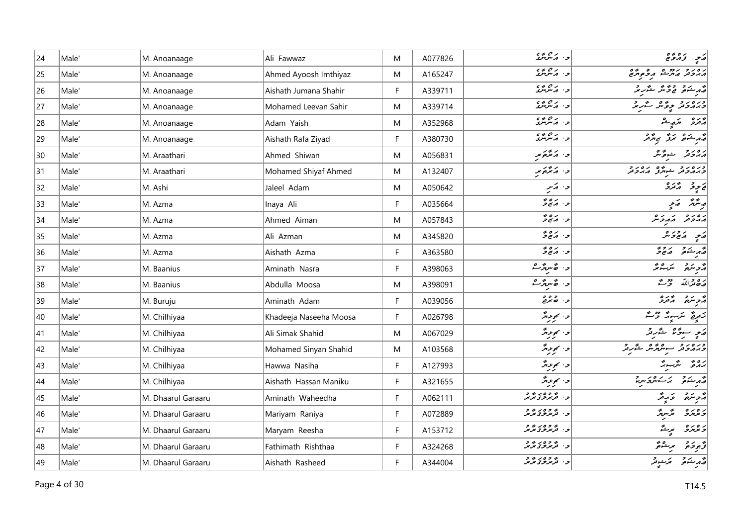| 24 | Male' | M. Anoanaage       | Ali Fawwaz             | ${\sf M}$ | A077826 | د . پر ټر پيرو                               | $\begin{bmatrix} 0 & 0 & 0 \\ 0 & 0 & 0 \end{bmatrix}$ |
|----|-------|--------------------|------------------------|-----------|---------|----------------------------------------------|--------------------------------------------------------|
| 25 | Male' | M. Anoanaage       | Ahmed Ayoosh Imthiyaz  | M         | A165247 | ر بر بر دره<br>د ۱ مرسرسر                    | גם ג' ב ג' בים הפתחתים                                 |
| 26 | Male' | M. Anoanaage       | Aishath Jumana Shahir  | F         | A339711 | ر بر ۱۵ ور و با<br>د ۱۰ مرس                  | و در دوره در شر                                        |
| 27 | Male' | M. Anoanaage       | Mohamed Leevan Sahir   | M         | A339714 | د . رژوئ                                     | ورەرو پەۋىر شرېر                                       |
| 28 | Male' | M. Anoanaage       | Adam Yaish             | M         | A352968 | ر بر ۱۵ و د<br>و ۱۰ مرس                      | أرتمره أتركم المحمد                                    |
| 29 | Male' | M. Anoanaage       | Aishath Rafa Ziyad     | F         | A380730 | د . رژوئ                                     | ە ئەستىمۇ ئىرق ئى قرىر                                 |
| 30 | Male' | M. Araathari       | Ahmed Shiwan           | M         | A056831 | ح <sup>.</sup> مَعْرَمَ <sub>مِ</sub>        | رەرو جوڭر                                              |
| 31 | Male' | M. Araathari       | Mohamed Shiyaf Ahmed   | ${\sf M}$ | A132407 | د . م <i>ر پژو</i> نبر                       | ورەرو شەرە رەرو<br>جەيرى ئىسترى مەرىر                  |
| 32 | Male' | M. Ashi            | Jaleel Adam            | ${\sf M}$ | A050642 | و- مړمړ                                      | نے پر تر مرکز                                          |
| 33 | Male' | M. Azma            | Inaya Ali              | F         | A035664 | 581.5                                        | ە ئىگر مىچ                                             |
| 34 | Male' | M. Azma            | Ahmed Aiman            | M         | A057843 | ومبرج وحج                                    | גם גב הגבית                                            |
| 35 | Male' | M. Azma            | Ali Azman              | ${\sf M}$ | A345820 | 587.5                                        | $0.226$ $2.6$                                          |
| 36 | Male' | M. Azma            | Aishath Azma           | F         | A363580 | و· دڻڻو                                      | $557$ $20 - 20$                                        |
| 37 | Male' | M. Baanius         | Aminath Nasra          | F         | A398063 | د . ځسرگرگ                                   | أأجا سكره الكرامية ومحر                                |
| 38 | Male' | M. Baanius         | Abdulla Moosa          | ${\sf M}$ | A398091 | ر <sub>·</sub> ھُ سرگر <u>م</u>              | بر20 مرالله<br>د معتبر                                 |
| 39 | Male' | M. Buruju          | Aminath Adam           | F         | A039056 | و . ح بو و<br>و . ح بو و                     | أثر يتره المرادر                                       |
| 40 | Male' | M. Chilhiyaa       | Khadeeja Naseeha Moosa | F         | A026798 | و· نمونودگر<br>مرکز                          | زَمِرِيحَ الرَسِيدُ وَٱلْتُمْ                          |
| 41 | Male' | M. Chilhiyaa       | Ali Simak Shahid       | M         | A067029 | ه ۱۰ کلی دیگر<br>مربر                        | أرو سوده مشرقه                                         |
| 42 | Male' | M. Chilhiyaa       | Mohamed Sinyan Shahid  | M         | A103568 | ه · سموعه پژگر<br>مرکز                       | ورەرو سەئەر ئەر                                        |
| 43 | Male' | M. Chilhiyaa       | Hawwa Nasiha           | F         | A127993 | ه · سموعه پژگر<br>مرکز                       |                                                        |
| 44 | Male' | M. Chilhiyaa       | Aishath Hassan Maniku  | F         | A321655 | وسمودگر                                      |                                                        |
| 45 | Male' | M. Dhaarul Garaaru | Aminath Waheedha       | F         | A062111 |                                              | أأزجر سكتم وأراقد                                      |
| 46 | Male' | M. Dhaarul Garaaru | Mariyam Raniya         | F         | A072889 | و . گرمروژمرمر<br>و . گرمروژمرمر             | رەرە ئەس                                               |
| 47 | Male' | M. Dhaarul Garaaru | Maryam Reesha          | F         | A153712 | و . گر <i>ىز ۋېرىز</i>                       | ىرىقە<br>ج<br>  ئەتەرە                                 |
| 48 | Male' | M. Dhaarul Garaaru | Fathimath Rishthaa     | F         | A324268 | و٠ ترىرورو و<br>و٠ ترىروزىرىر                | وحودة برشق                                             |
| 49 | Male' | M. Dhaarul Garaaru | Aishath Rasheed        | F         | A344004 | و .   تر بر و بر و و<br>و     تر بر بر بر بر | وكرم شكوم المحرسوم                                     |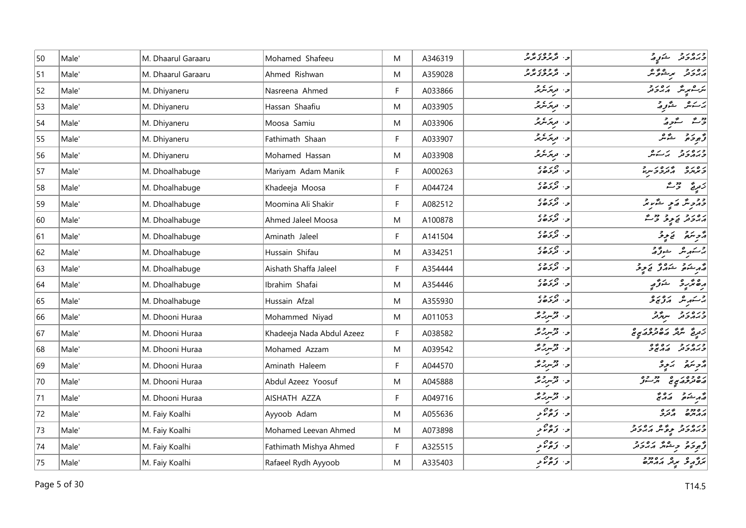| 50 | Male' | M. Dhaarul Garaaru | Mohamed Shafeeu           | M           | A346319 | <sub>ج</sub> . م <i>وجوة برو</i>      | ورەر د شرور                               |
|----|-------|--------------------|---------------------------|-------------|---------|---------------------------------------|-------------------------------------------|
| 51 | Male' | M. Dhaarul Garaaru | Ahmed Rishwan             | M           | A359028 | و . قریمروژنیمر<br>و . قریمروژنیمریمر | رەرو برىشۇش                               |
| 52 | Male' | M. Dhiyaneru       | Nasreena Ahmed            | F           | A033866 | د <sub>ا</sub> مرمر عرفر              | برسمبريش كمارد                            |
| 53 | Male' | M. Dhiyaneru       | Hassan Shaafiu            | M           | A033905 | <sub>و</sub> . مەركىلىرىگە            | پرستمبر مقورته                            |
| 54 | Male' | M. Dhiyaneru       | Moosa Samiu               | M           | A033906 | و- تروگرگر                            | ورم شور                                   |
| 55 | Male' | M. Dhiyaneru       | Fathimath Shaan           | F.          | A033907 | د . مرمر <i>مر</i> کر                 | قَرْجِرْحَمْ شَمَسْ                       |
| 56 | Male' | M. Dhiyaneru       | Mohamed Hassan            | M           | A033908 | و· م <sub>ی</sub> برکرمر              | ورەرو پرىش                                |
| 57 | Male' | M. Dhoalhabuge     | Mariyam Adam Manik        | F           | A000263 | <br>  و · کرگر <i>ه ی</i>             | כמתם בנסנים                               |
| 58 | Male' | M. Dhoalhabuge     | Khadeeja Moosa            | $\mathsf F$ | A044724 | ح - ح ر و ء<br>ح - فرغر <i>ه ی</i>    | زَمِيعٌ حُمْ ثُمَّ                        |
| 59 | Male' | M. Dhoalhabuge     | Moomina Ali Shakir        | F           | A082512 | ح - ح ر و ء<br>ح - گرگر <i>ه ی</i>    | ودونتر ړیو څرند                           |
| 60 | Male' | M. Dhoalhabuge     | Ahmed Jaleel Moosa        | M           | A100878 | ح د حر و ۽<br>ح - گرمون ت             | د ورد تاریخ در د                          |
| 61 | Male' | M. Dhoalhabuge     | Aminath Jaleel            | F           | A141504 | ح - ح ر و ء<br>ح - فرنز@ی             | أأدبتكم فأوفر                             |
| 62 | Male' | M. Dhoalhabuge     | Hussain Shifau            | M           | A334251 | ح - ح ر و ء<br>ح - فرغر <i>ه ی</i>    | جر شهر مشور می شود که ا                   |
| 63 | Male' | M. Dhoalhabuge     | Aishath Shaffa Jaleel     | $\mathsf F$ | A354444 | ح - ح ر و ء<br>ح - گرگر <i>ه ی</i>    | ر<br>مەرشۇم شەرق ق <sub>ا</sub> لول       |
| 64 | Male' | M. Dhoalhabuge     | Ibrahim Shafai            | M           | A354446 | ح - ح ر و ء<br>ح - گرگر <i>ه ی</i>    | أرە ئەر ئىستىق ئە                         |
| 65 | Male' | M. Dhoalhabuge     | Hussain Afzal             | M           | A355930 | ح د حر و د<br>ح · گرگرفتانی           | جر مرور برورو                             |
| 66 | Male' | M. Dhooni Huraa    | Mohammed Niyad            | M           | A011053 | <sub>ح</sub> . قرمبرر محمد            | ورەرو سەد                                 |
| 67 | Male' | M. Dhooni Huraa    | Khadeeja Nada Abdul Azeez | F           | A038582 | <sub>ح</sub> . قرمبرر محمّد           | زىر ئەر رەدەر ە                           |
| 68 | Male' | M. Dhooni Huraa    | Mohamed Azzam             | M           | A039542 | <sub>ح</sub> . قرمبرر محمد            | כנסנכ נסשם<br>כגתכת התאב                  |
| 69 | Male' | M. Dhooni Huraa    | Aminath Haleem            | F           | A044570 | <sub>ح</sub> . قرمبرر محمد            | أأروسهم أيجود                             |
| 70 | Male' | M. Dhooni Huraa    | Abdul Azeez Yoosuf        | M           | A045888 | ح <sup>.</sup> قرمرر تر               | נ 2000 - 2000 מידים<br>הסתיבה שיב - ת-יינ |
| 71 | Male' | M. Dhooni Huraa    | AISHATH AZZA              | F           | A049716 | ح التحرير حريمً                       | أقرم شئتمو أتره و                         |
| 72 | Male' | M. Faiy Koalhi     | Ayyoob Adam               | M           | A055636 | د د ده په د                           | ג 2000 - 2 בינים<br>ה'הריתים - ה"בקיב     |
| 73 | Male' | M. Faiy Koalhi     | Mohamed Leevan Ahmed      | M           | A073898 | -<br> - زەپرى                         | ورەر دېم بور دەر دېم<br>دىر دېم بور س     |
| 74 | Male' | M. Faiy Koalhi     | Fathimath Mishya Ahmed    | F           | A325515 | د . نوځوننګو په                       | و و ده و شهر مدرد                         |
| 75 | Male' | M. Faiy Koalhi     | Rafaeel Rydh Ayyoob       | M           | A335403 | -<br> - زەۋىنى                        | <br>  הנקב תנג ההתם                       |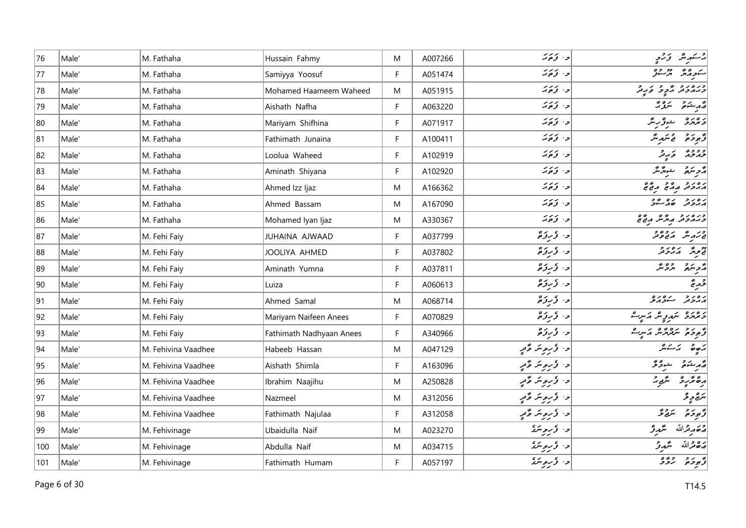| 76  | Male' | M. Fathaha          | Hussain Fahmy            | M         | A007266 | د . ۇەنز                                  | چە ئىكتەر مىش ئۆز <sub>ىچى</sub><br>ئ                                                                |
|-----|-------|---------------------|--------------------------|-----------|---------|-------------------------------------------|------------------------------------------------------------------------------------------------------|
| 77  | Male' | M. Fathaha          | Samiyya Yoosuf           | F         | A051474 | د . ۆەپر                                  | سكره ويداده ويستور                                                                                   |
| 78  | Male' | M. Fathaha          | Mohamed Haameem Waheed   | ${\sf M}$ | A051915 | د . ۇەنز                                  | ورەرو مەد ئەر ئەر                                                                                    |
| 79  | Male' | M. Fathaha          | Aishath Nafha            | F         | A063220 | د . ۇەنز                                  | أشهر شده بره بر                                                                                      |
| 80  | Male' | M. Fathaha          | Mariyam Shifhina         | F         | A071917 | د . ۇەنز                                  | وتروده المورانة                                                                                      |
| 81  | Male' | M. Fathaha          | Fathimath Junaina        | F         | A100411 | ە . ئەنگە                                 | أَوْجِرْ حَمْدِ مِنْ مِنْ                                                                            |
| 82  | Male' | M. Fathaha          | Loolua Waheed            | F         | A102919 | د . ۇەنز                                  | وووو كريز                                                                                            |
| 83  | Male' | M. Fathaha          | Aminath Shiyana          | F         | A102920 | د . نوَه پَرَ                             | أأرجو ستريتهم المستورثين                                                                             |
| 84  | Male' | M. Fathaha          | Ahmed Izz Ijaz           | ${\sf M}$ | A166362 | د . ۇەنە                                  | - 22 23 222                                                                                          |
| 85  | Male' | M. Fathaha          | Ahmed Bassam             | ${\sf M}$ | A167090 | د . ۇەنز                                  | ره د ده در                                                                                           |
| 86  | Male' | M. Fathaha          | Mohamed Iyan Ijaz        | M         | A330367 | د . ۇەن                                   | ورەرو مەر مەر                                                                                        |
| 87  | Male' | M. Fehi Faiy        | JUHAINA AJWAAD           | F         | A037799 | ه<br>د کردگاه                             | في تركيب من المتحدة المحمد المحمد المحمد المحمد المحمد المحمد المحمد المحمد المحمد المحمد المحمد الم |
| 88  | Male' | M. Fehi Faiy        | JOOLIYA AHMED            | F         | A037802 | والمؤردة وكالمح                           | دد به بره برو<br>اقع فرمز المربر و مر                                                                |
| 89  | Male' | M. Fehi Faiy        | Aminath Yumna            | F         | A037811 | د· ڈرزه                                   | أأدجني الروائر                                                                                       |
| 90  | Male' | M. Fehi Faiy        | Luiza                    | F         | A060613 | و· ؤرده.                                  | لخرمج                                                                                                |
| 91  | Male' | M. Fehi Faiy        | Ahmed Samal              | ${\sf M}$ | A068714 | و· ڈرن <b>گ</b> و                         | پروژبر<br>سەدە بىر                                                                                   |
| 92  | Male' | M. Fehi Faiy        | Mariyam Naifeen Anees    | F         | A070829 | و· ؤرِزَةْ                                | د بر مرکز مرکز مرکز مرکز میران                                                                       |
| 93  | Male' | M. Fehi Faiy        | Fathimath Nadhyaan Anees | F         | A340966 | و· ۇرۇۋ                                   | و دو ره وه کمی                                                                                       |
| 94  | Male' | M. Fehivina Vaadhee | Habeeb Hassan            | M         | A047129 | <i>و· ؤروبيرَ</i> وُمِدٍ                  | بَرُحوحَ بَرَسَدَسَ                                                                                  |
| 95  | Male' | M. Fehivina Vaadhee | Aishath Shimla           | F         | A163096 | <mark>و· ڈر<sub>یو</sub>بئر ءَّبرِ</mark> | أأرشكم شروقه                                                                                         |
| 96  | Male' | M. Fehivina Vaadhee | Ibrahim Naajihu          | ${\sf M}$ | A250828 | و· ڈر <sub>ِ</sub> ومر ڈىر                | وە ئۈرۈ<br>سگھ پر                                                                                    |
| 97  | Male' | M. Fehivina Vaadhee | Nazmeel                  | ${\sf M}$ | A312056 | و· وُرِهِ مَرَ وَّمَدٍ                    | بترچ چونځه                                                                                           |
| 98  | Male' | M. Fehivina Vaadhee | Fathimath Najulaa        | F         | A312058 | و· ؤرپویئر وٌّمْدٍ                        | و و د و د و و                                                                                        |
| 99  | Male' | M. Fehivinage       | Ubaidulla Naif           | ${\sf M}$ | A023270 | <sub>و</sub> . ۇر <sub>و</sub> مۇ         | حەم قراللە شمېر ئى                                                                                   |
| 100 | Male' | M. Fehivinage       | Abdulla Naif             | M         | A034715 | و· ۇروپىدى                                | ىتىدۇ<br><mark>برء تر</mark> الله                                                                    |
| 101 | Male' | M. Fehivinage       | Fathimath Humam          | F         | A057197 | <sub>و</sub> . ۇر <sub>ومىر</sub> ى       | $rac{1}{55}$ $rac{2}{5}$                                                                             |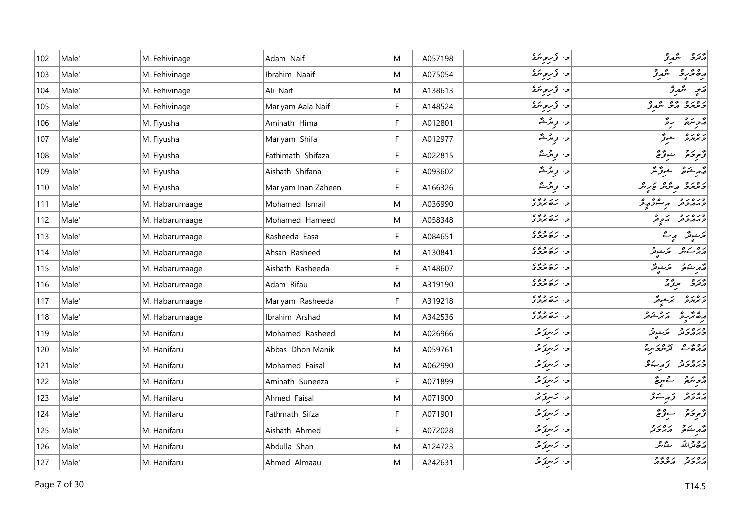| 102 | Male' | M. Fehivinage  | Adam Naif           | M           | A057198 | <sub>ح</sub> . ئۇر <sub>ى</sub> رىئىدىگ | ىئىد ۋ<br>ء ر ه<br>مرگر                                              |
|-----|-------|----------------|---------------------|-------------|---------|-----------------------------------------|----------------------------------------------------------------------|
| 103 | Male' | M. Fehivinage  | Ibrahim Naaif       | M           | A075054 | <sub>و: ت</sub> ۇر <sub>ە</sub> يىڭ     | $rac{2}{3}$<br>سڭە بۇ                                                |
| 104 | Male' | M. Fehivinage  | Ali Naif            | M           | A138613 | و· ۇروپىدى                              | أەسم سىمبرقر                                                         |
| 105 | Male' | M. Fehivinage  | Mariyam Aala Naif   | F           | A148524 | <i>و<sub>: قرمرمومتن</sub></i> دُ       | دەرە بۇ ئەر                                                          |
| 106 | Male' | M. Fiyusha     | Aminath Hima        | F           | A012801 | او. وېژمنځه                             | رژ<br>أروبترة                                                        |
| 107 | Male' | M. Fiyusha     | Mariyam Shifa       | $\mathsf F$ | A012977 | د. وگرگ                                 | ر ه بر ه<br><del>د</del> بربر د<br>شەرىچ                             |
| 108 | Male' | M. Fiyusha     | Fathimath Shifaza   | F           | A022815 | د. وگرگ                                 | شەۋىج<br>و <sub>م</sub> ور د                                         |
| 109 | Male' | M. Fiyusha     | Aishath Shifana     | $\mathsf F$ | A093602 | ار. وېژگی<br>—                          | ۇرمۇش سۆزىگە                                                         |
| 110 | Male' | M. Fiyusha     | Mariyam Inan Zaheen | F           | A166326 | د. وبژیځه                               | دورو مشره ټړند                                                       |
| 111 | Male' | M. Habarumaage | Mohamed Ismail      | M           | A036990 | ر د ده د د<br>د . ره برو د              | ورەرو بەسكە ئەيد                                                     |
| 112 | Male' | M. Habarumaage | Mohamed Hameed      | M           | A058348 | ر د د ه ،<br>د ۱ رکابود د               | ورەرو پەرە                                                           |
| 113 | Male' | M. Habarumaage | Rasheeda Easa       | F           | A084651 | ر د د ه ،<br>د ۱ رکابود د               | ىرىدىر مايىسى<br>مەسىم                                               |
| 114 | Male' | M. Habarumaage | Ahsan Rasheed       | M           | A130841 | ر د د ه ،<br>د ۱ رکابود د               | روك كالمر المركب وتر                                                 |
| 115 | Male' | M. Habarumaage | Aishath Rasheeda    | F           | A148607 | ر د ده د.<br>د گ                        | ر<br>مگر شکور محرشونگر                                               |
| 116 | Male' | M. Habarumaage | Adam Rifau          | M           | A319190 | و . شەھ بود ئ                           | أزوه برؤة                                                            |
| 117 | Male' | M. Habarumaage | Mariyam Rasheeda    | F           | A319218 | ر د د و د ،<br>د ۱ رکارد د              | رەرە يەجە                                                            |
| 118 | Male' | M. Habarumaage | Ibrahim Arshad      | M           | A342536 | ر د د ه ،<br>د ۱ رکابود د               | رە ئرىرو كەرگەر                                                      |
| 119 | Male' | M. Hanifaru    | Mohamed Rasheed     | M           | A026966 | د . ئەس <i>رىگە</i>                     | ورەرو كەنبەتى                                                        |
| 120 | Male' | M. Hanifaru    | Abbas Dhon Manik    | M           | A059761 | <mark>ى ئەرىرىم</mark>                  | גם כם מסגרת                                                          |
| 121 | Male' | M. Hanifaru    | Mohamed Faisal      | M           | A062990 | وستمبرونتر                              | ورەرد ۋەجۇ                                                           |
| 122 | Male' | M. Hanifaru    | Aminath Suneeza     | $\mathsf F$ | A071899 | ە - ئەسىرىم                             | سەمىرىتج<br>ړ څر سرچ                                                 |
| 123 | Male' | M. Hanifaru    | Ahmed Faisal        | M           | A071900 | د . ئەس <i>رىگە</i>                     | رەرد ۋەبىر                                                           |
| 124 | Male' | M. Hanifaru    | Fathmath Sifza      | F           | A071901 | <mark>و، ئەيرىم</mark> گە               | ژوځو سره                                                             |
| 125 | Male' | M. Hanifaru    | Aishath Ahmed       | F           | A072028 | ە - ئەسىرىمى                            | بر 2 ر ح<br>م <i>ر</i> بر <del>و</del> تر<br>و گرم شو د<br>مرکز شو ه |
| 126 | Male' | M. Hanifaru    | Abdulla Shan        | M           | A124723 | <mark>ء<sub>َ</sub>، رَسِرَت</mark> ر   | ەھىراللە<br>ىشەھر                                                    |
| 127 | Male' | M. Hanifaru    | Ahmed Almaau        | M           | A242631 | ە - ئەسرىگە                             | גפני גפייני                                                          |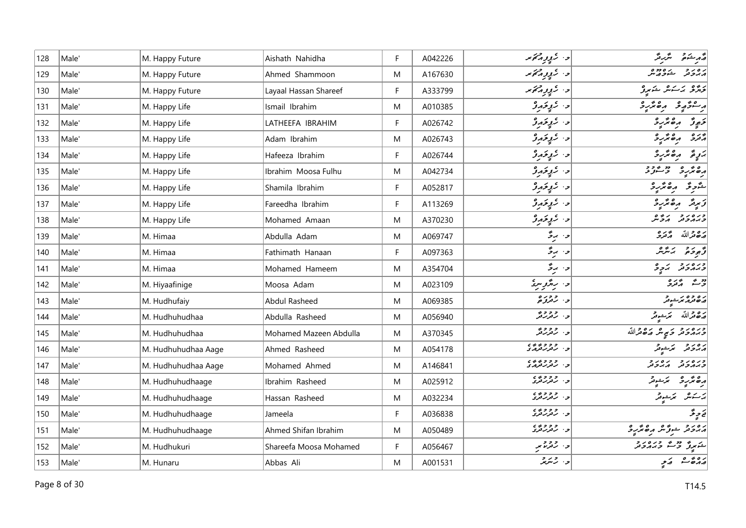| 128 | Male' | M. Happy Future     | Aishath Nahidha        | F  | A042226 | <sub>و:</sub> گ <sub>و</sub> پوههم مر    | أقهر مشهور متربرقد                                                                                                        |
|-----|-------|---------------------|------------------------|----|---------|------------------------------------------|---------------------------------------------------------------------------------------------------------------------------|
| 129 | Male' | M. Happy Future     | Ahmed Shammoon         | M  | A167630 | <sub>و:</sub> گ <sub>رو</sub> و پرمخ مر  | ره رو در ده ده و.<br>م.رو تر شو <i>وم</i> س                                                                               |
| 130 | Male' | M. Happy Future     | Layaal Hassan Shareef  | F  | A333799 | د ۰ زېږد چوړم                            | تزروها برسكار المشهرو                                                                                                     |
| 131 | Male' | M. Happy Life       | Ismail Ibrahim         | M  | A010385 | <sub>و</sub> . ژ <sub>وپخ</sub> رو       | ر عۇرپۇ رەترىرى                                                                                                           |
| 132 | Male' | M. Happy Life       | LATHEEFA IBRAHIM       | F. | A026742 | د کوپوکرو                                | دە ئۈرۈ<br>ځږوگر                                                                                                          |
| 133 | Male' | M. Happy Life       | Adam Ibrahim           | M  | A026743 | د کوپوکرو                                | وە ئەرۋ<br>پر ره<br>د تر ژ                                                                                                |
| 134 | Male' | M. Happy Life       | Hafeeza Ibrahim        | F  | A026744 | د. ئۇنۇرۇ                                | بَرَوٍ وَصَحَرِ وَ                                                                                                        |
| 135 | Male' | M. Happy Life       | Ibrahim Moosa Fulhu    | M  | A042734 | د کړې تروگړو                             | دو ه د د د<br>تر سگولو لر<br>ە ھەترىر <i>2</i>                                                                            |
| 136 | Male' | M. Happy Life       | Shamila Ibrahim        | F  | A052817 | <sub>و</sub> . ئ <sub>ۇي</sub> ۇرۇ       | ڪ پر گر<br>ەرھەترىر <sup>ى</sup>                                                                                          |
| 137 | Male' | M. Happy Life       | Fareedha Ibrahim       | F  | A113269 | د. ژږدورو                                | تر مرتز مەھ ئىر ئ                                                                                                         |
| 138 | Male' | M. Happy Life       | Mohamed Amaan          | M  | A370230 | د. ئېرچەرۇ                               | ورەر د پرو                                                                                                                |
| 139 | Male' | M. Himaa            | Abdulla Adam           | M  | A069747 | و۰ بردٌ                                  | مَدْهِ مِنْ اللَّهُ مُرْمَرِ                                                                                              |
| 140 | Male' | M. Himaa            | Fathimath Hanaan       | F  | A097363 | وسرونج                                   | ۇي <sub>ج</sub> و ئەرمىسى ئىشكى ئىستى ئىستى ئىستى ئىستى ئىستى ئىشكى ئىستى ئىشكى ئىستى ئىستى ئىستى ئىستى ئىستى ئىستى ئىستى |
| 141 | Male' | M. Himaa            | Mohamed Hameem         | M  | A354704 | و- بروٌ                                  | ورەرو رو                                                                                                                  |
| 142 | Male' | M. Hiyaafinige      | Moosa Adam             | M  | A023109 | د· رگرو سرگه                             | اد مع مداره<br>احراب مدارد                                                                                                |
| 143 | Male' | M. Hudhufaiy        | Abdul Rasheed          | M  | A069385 | و . ووره<br>و . رفروج                    | ر ه و ه ر<br>د کانگرد بگرشونگر                                                                                            |
| 144 | Male' | M. Hudhuhudhaa      | Abdulla Rasheed        | M  | A056940 | و٠ رودونژ                                | رەقماللە ئىشىر                                                                                                            |
| 145 | Male' | M. Hudhuhudhaa      | Mohamed Mazeen Abdulla | M  | A370345 | و٠ رودونژ                                | ورورو و به مروورالله                                                                                                      |
| 146 | Male' | M. Hudhuhudhaa Aage | Ahmed Rasheed          | M  | A054178 |                                          |                                                                                                                           |
| 147 | Male' | M. Hudhuhudhaa Aage | Mohamed Ahmed          | M  | A146841 | و و و و پر و ،<br>و ۰ کترنرتر <i>و</i> گ | כנסגב גםגב<br>כגמבת הגבת                                                                                                  |
| 148 | Male' | M. Hudhuhudhaaqe    | Ibrahim Rasheed        | M  | A025912 | و و و و د و<br>و ۰ رتورتوی               | رە ئرىر ئىن ئىشىر                                                                                                         |
| 149 | Male' | M. Hudhuhudhaage    | Hassan Rasheed         | M  | A032234 | و د ووړ .<br>و۰ رتورتون                  | ر<br>رکامل ایرکسومر                                                                                                       |
| 150 | Male' | M. Hudhuhudhaage    | Jameela                | F  | A036838 |                                          | تع تر تخر                                                                                                                 |
| 151 | Male' | M. Hudhuhudhaage    | Ahmed Shifan Ibrahim   | M  | A050489 | و و و و پر<br>و۰ کوترن                   | رەر دېم جوژنگر مەھرىرد                                                                                                    |
| 152 | Male' | M. Hudhukuri        | Shareefa Moosa Mohamed | F  | A056467 | وستقرم مر                                | شهرو ومعدود وره دو                                                                                                        |
| 153 | Male' | M. Hunaru           | Abbas Ali              | M  | A001531 | ە - رشىرىم                               | رەپ ئە                                                                                                                    |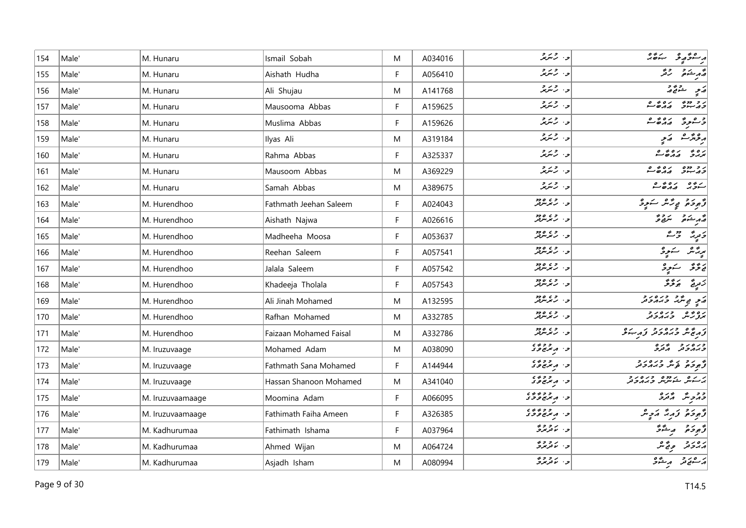| 154 | Male' | M. Hunaru        | Ismail Sobah           | M  | A034016 | والمرجميز                          | $282 + 282$                           |
|-----|-------|------------------|------------------------|----|---------|------------------------------------|---------------------------------------|
| 155 | Male' | M. Hunaru        | Aishath Hudha          | F  | A056410 | وسيمترج                            | $rac{2}{\sqrt{2}}$                    |
| 156 | Male' | M. Hunaru        | Ali Shujau             | M  | A141768 | والمرجميز                          | أوكمني المستوفية وكالمحمد             |
| 157 | Male' | M. Hunaru        | Mausooma Abbas         | F  | A159625 | وسيمتر                             | رەپچە<br>ر د دو.                      |
| 158 | Male' | M. Hunaru        | Muslima Abbas          | F  | A159626 | وسيمترجر                           | 2501<br>ۇ س <sub>ى</sub> رىچە         |
| 159 | Male' | M. Hunaru        | Ilyas Ali              | M  | A319184 | والمرجميز                          | أرقهر شقيم                            |
| 160 | Male' | M. Hunaru        | Rahma Abbas            | F  | A325337 | والمرجميز                          | رەپ رەپ                               |
| 161 | Male' | M. Hunaru        | Mausoom Abbas          | M  | A369229 | والمرجميز                          | 0.401<br>ر د ده ه                     |
| 162 | Male' | M. Hunaru        | Samah Abbas            | M  | A389675 | والمرجميز                          | 2501022                               |
| 163 | Male' | M. Hurendhoo     | Fathmath Jeehan Saleem | F  | A024043 | و ، و و و و<br>و ، ر بوسرتو        | وتجوحا ويرشد سودة                     |
| 164 | Male' | M. Hurendhoo     | Aishath Najwa          | F. | A026616 | و ، و و و و<br>و ، ر بوسرتو        | حمد شده سرور<br>مرشوم سرور            |
| 165 | Male' | M. Hurendhoo     | Madheeha Moosa         | F  | A053637 | و ، ار و و و<br>و ، ار مرس         | دَ پرته وحت                           |
| 166 | Male' | M. Hurendhoo     | Reehan Saleem          | F  | A057541 | و ، و و و ود<br>و ، ر بوسرلو       | ىرتەش سەردۇ                           |
| 167 | Male' | M. Hurendhoo     | Jalala Saleem          | F  | A057542 | و ، او و و د<br>و ، ار مرس         | ئەنزىق سەرد                           |
| 168 | Male' | M. Hurendhoo     | Khadeeja Tholala       | F  | A057543 | و ، او و و د<br>و ، ار مرس         | أرَسِيعٌ بِمَرْتَحَرَّ                |
| 169 | Male' | M. Hurendhoo     | Ali Jinah Mohamed      | M  | A132595 | و ، اورود<br>و ، ار بوسرفر         | ار و مرکز دره در د                    |
| 170 | Male' | M. Hurendhoo     | Rafhan Mohamed         | M  | A332785 | و ، و و و ود<br>و ، ر بوسرلو       | رە بور درەر د<br>برزگىر باربار        |
| 171 | Male' | M. Hurendhoo     | Faizaan Mohamed Faisal | M  | A332786 | و ، گرمونو<br>و ، گرمونو           | وَمِعَ مَنْ دَيْرَ دَوْ وَمِنْ يَوْمَ |
| 172 | Male' | M. Iruzuvaage    | Mohamed Adam           | M  | A038090 | و۰ پر چونو <sup>ی</sup>            | ورەر دىرە                             |
| 173 | Male' | M. Iruzuvaage    | Fathmath Sana Mohamed  | F  | A144944 | د . د برج و د ،<br>  د . د برج و د | و دو به وره دو                        |
| 174 | Male' | M. Iruzuvaage    | Hassan Shanoon Mohamed | M  | A341040 | و به مربوع و د<br>و به مربوع و د   | ر کامل کے مرد در در در د              |
| 175 | Male' | M. Iruzuvaamaage | Moomina Adam           | F  | A066095 | و به مردوره و د<br>و به مردوره و   | وجروش بروره                           |
| 176 | Male' | M. Iruzuvaamaage | Fathimath Faiha Ameen  | F  | A326385 | و. م <i>جمع</i> ووي                | وتجوحه وربث كمويثر                    |
| 177 | Male' | M. Kadhurumaa    | Fathimath Ishama       | F  | A037964 | وسلم ووه.                          | أزودة المشر                           |
| 178 | Male' | M. Kadhurumaa    | Ahmed Wijan            | M  | A064724 | وسلم ووه                           | أرەر ئەھقىر                           |
| 179 | Male' | M. Kadhurumaa    | Asjadh Isham           | M  | A080994 | ر د ده.<br>و۰ ماتربرگ              | بر عرو به مشرو                        |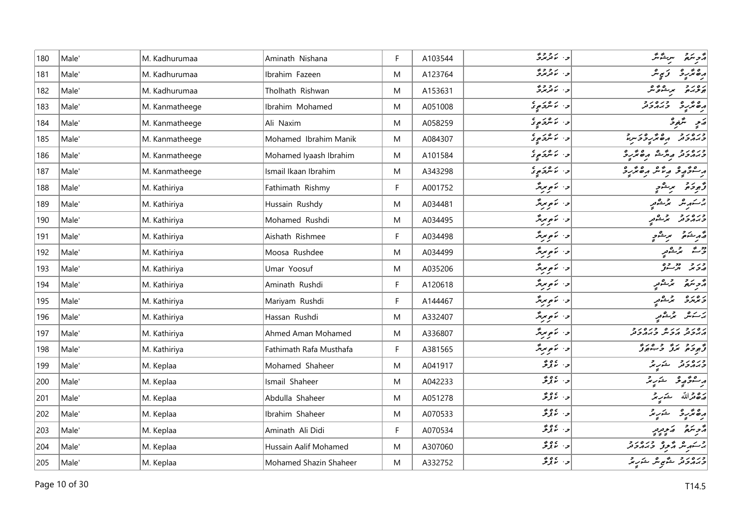| 180 | Male' | M. Kadhurumaa  | Aminath Nishana         | F           | A103544 | وسلم ترويج                                           | سرىشەتگە<br>أأرمرهم                                   |
|-----|-------|----------------|-------------------------|-------------|---------|------------------------------------------------------|-------------------------------------------------------|
| 181 | Male' | M. Kadhurumaa  | Ibrahim Fazeen          | M           | A123764 | ر د ده.<br>و۰ ماتربرگ                                | دە ئەرد<br>ئۇ يې شر                                   |
| 182 | Male' | M. Kadhurumaa  | Tholhath Rishwan        | M           | A153631 | وسلم ووه                                             | ىر شەۋىتر<br>ر ه ر د<br>جوبر <sub>ح</sub>             |
| 183 | Male' | M. Kanmatheege | Ibrahim Mohamed         | M           | A051008 | - مسترجع دي.<br>حسن مسترجع دي.                       | و رە ر د<br><i>د بر</i> گرىز<br>ە ھەترىر <sup>ە</sup> |
| 184 | Male' | M. Kanmatheege | Ali Naxim               | M           | A058259 | و . ئەنىر ۋە                                         | ر<br>مۇستىمبۇر                                        |
| 185 | Male' | M. Kanmatheege | Mohamed Ibrahim Manik   | M           | A084307 | و ، مرو <sub>م و .</sub><br>و ، مرو <sub>م و د</sub> | و ره ر و<br>تر پر تر تر                               |
| 186 | Male' | M. Kanmatheege | Mohamed Iyaash Ibrahim  | M           | A101584 | د . ، ، مر <sub>ح</sub> زم ،                         | כנסגד התפי הסתקפ                                      |
| 187 | Male' | M. Kanmatheege | Ismail Ikaan Ibrahim    | M           | A343298 | د ، ئەنگە چوپچ                                       | مر شرخه د مره شده مره بر در د                         |
| 188 | Male' | M. Kathiriya   | Fathimath Rishmy        | $\mathsf F$ | A001752 | وستمو ببردمجر                                        | وٌمودَهُ برَحْوِ                                      |
| 189 | Male' | M. Kathiriya   | Hussain Rushdy          | M           | A034481 | د . مأمو بر پژ                                       | جرسكور شرائع مرتشقور                                  |
| 190 | Male' | M. Kathiriya   | Mohamed Rushdi          | M           | A034495 | د . مأمو بر پژ                                       | ورەرو ويقور                                           |
| 191 | Male' | M. Kathiriya   | Aishath Rishmee         | $\mathsf F$ | A034498 | د . مأمو بر پژ                                       | وكرشكو برشوح                                          |
| 192 | Male' | M. Kathiriya   | Moosa Rushdee           | M           | A034499 | د ، مأمو برېژ                                        | ودع پرشور                                             |
| 193 | Male' | M. Kathiriya   | Umar Yoosuf             | M           | A035206 | د . مأمومبردگر                                       | כני הרבים<br>הכיני הרבי                               |
| 194 | Male' | M. Kathiriya   | Aminath Rushdi          | $\mathsf F$ | A120618 | ح <sup>.</sup> ئۈم بىرى <i>گ</i>                     | أأزحر سكرهم المتمر يحياني                             |
| 195 | Male' | M. Kathiriya   | Mariyam Rushdi          | F           | A144467 | <sub>ح</sub> . عامو مرورٌ                            | و ه ده د و و د و د                                    |
| 196 | Male' | M. Kathiriya   | Hassan Rushdi           | M           | A332407 | - سأھ بىرەڭر                                         | بر کے مگر شومیں                                       |
| 197 | Male' | M. Kathiriya   | Ahmed Aman Mohamed      | M           | A336807 | ە بە ئەھ <sub>ە بىرى</sub> رگە                       | נסגב גנס כנסגב<br>גמבני גבית במגבני                   |
| 198 | Male' | M. Kathiriya   | Fathimath Rafa Musthafa | F           | A381565 | د ، مأمومبردگر                                       | توجدة برق ومبرد                                       |
| 199 | Male' | M. Keplaa      | Mohamed Shaheer         | M           | A041917 | ى ، ئەۋىچ                                            | ورەرو ئەرچ                                            |
| 200 | Male' | M. Keplaa      | Ismail Shaheer          | M           | A042233 | ە ، ئاۋۇ                                             | رەۋرو خېر                                             |
| 201 | Male' | M. Keplaa      | Abdulla Shaheer         | M           | A051278 | ى ، ئاۋىچ                                            | ره والله خريد                                         |
| 202 | Male' | M. Keplaa      | Ibrahim Shaheer         | M           | A070533 | ى ، ئاۋۇ                                             | ەھترىرى ھەرىر<br>رەمزىرى ھەرىر                        |
| 203 | Male' | M. Keplaa      | Aminath Ali Didi        | $\mathsf F$ | A070534 | ى ، ئاۋىچ                                            | ر<br>در سره در در در                                  |
| 204 | Male' | M. Keplaa      | Hussain Aalif Mohamed   | M           | A307060 | د ، ئاۋۇ                                             | י הודע היו כנסגב                                      |
| 205 | Male' | M. Keplaa      | Mohamed Shazin Shaheer  | M           | A332752 | ى بىرە ئە                                            | ورەرو شەپرىر شەرىر                                    |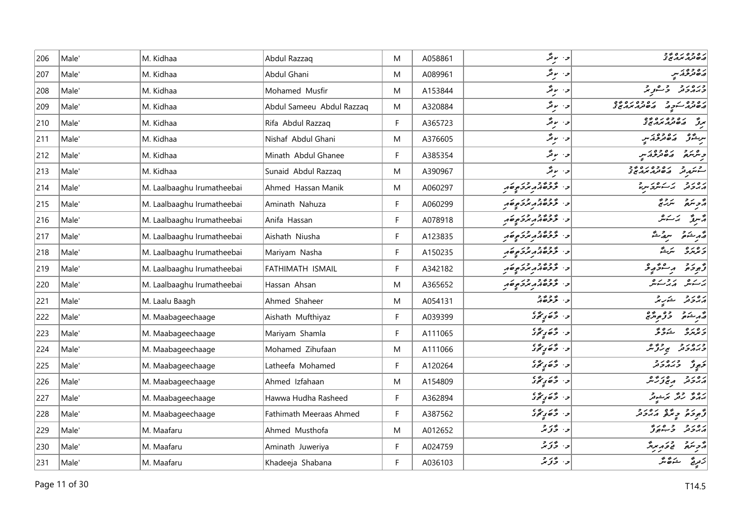| 206 | Male' | M. Kidhaa                  | Abdul Razzaq                   | M           | A058861 | د . روتر<br>م                     | ر ٥ ر ٥ ر ٥ ر <u>٥</u><br>۵ ر <i>۵ تر ۸ بر ۸ ج</i> تر                                                                                                                                                                           |
|-----|-------|----------------------------|--------------------------------|-------------|---------|-----------------------------------|---------------------------------------------------------------------------------------------------------------------------------------------------------------------------------------------------------------------------------|
| 207 | Male' | M. Kidhaa                  | Abdul Ghani                    | M           | A089961 | و· مەنگە                          | ره وه د سر                                                                                                                                                                                                                      |
| 208 | Male' | M. Kidhaa                  | Mohamed Musfir                 | M           | A153844 | و· مەتگ                           | כנה ביטר ביטר ב                                                                                                                                                                                                                 |
| 209 | Male' | M. Kidhaa                  | Abdul Sameeu Abdul Razzaq      | M           | A320884 | و· مەنگ                           | נסכם ג כ גםכם גם בם<br>גיש בנג הב גיש באומי באיש                                                                                                                                                                                |
| 210 | Male' | M. Kidhaa                  | Rifa Abdul Razzaq              | F           | A365723 | و۰ مەتگ                           |                                                                                                                                                                                                                                 |
| 211 | Male' | M. Kidhaa                  | Nishaf Abdul Ghani             | M           | A376605 | و· مەنگە                          | ړه وه پر سر<br>اسرىشۇ                                                                                                                                                                                                           |
| 212 | Male' | M. Kidhaa                  | Minath Abdul Ghanee            | $\mathsf F$ | A385354 | و۰ مەتگ                           | - 2707 - 2707 - 2707 - 2707 - 2707 - 2707 - 2707 - 2807 - 2807 - 2807 - 2807 - 2807 - 2807 - 2807 - 2807 - 280                                                                                                                  |
| 213 | Male' | M. Kidhaa                  | Sunaid Abdul Razzaq            | M           | A390967 | و· مەنگ                           | 24010201 212                                                                                                                                                                                                                    |
| 214 | Male' | M. Laalbaaghu Irumatheebai | Ahmed Hassan Manik             | M           | A060297 | د. گر <i>گره زم ترونوه د</i>      | גפגב האולי ביותר ביותר ביותר ביותר ביותר ביותר ביותר ביותר ביותר ביותר ביותר ביותר ביותר ביותר ביותר ביותר ביו<br>המוכנים ביותר ביותר ביותר ביותר ביותר ביותר ביותר ביותר ביותר ביותר ביותר ביותר ביותר ביותר ביותר ביותר ביותר |
| 215 | Male' | M. Laalbaaghu Irumatheebai | Aminath Nahuza                 | F           | A060299 |                                   | لأحر يترة<br>سرويح                                                                                                                                                                                                              |
| 216 | Male' | M. Laalbaaghu Irumatheebai | Anifa Hassan                   | F           | A078918 | - ללפור הלקסת                     | ۇسۇ ئەسكىر                                                                                                                                                                                                                      |
| 217 | Male' | M. Laalbaaghu Irumatheebai | Aishath Niusha                 | F           | A123835 | - הבנה הבביקסת                    | وكرشكو سروشة                                                                                                                                                                                                                    |
| 218 | Male' | M. Laalbaaghu Irumatheebai | Mariyam Nasha                  | F           | A150235 |                                   | ر ه ر ه<br><del>و</del> بربرو<br>سريس                                                                                                                                                                                           |
| 219 | Male' | M. Laalbaaghu Irumatheebai | FATHIMATH ISMAIL               | F           | A342182 | ב יצבסת הבנים ה                   | ژُودَهُ پرَ دُوُږِ دُ                                                                                                                                                                                                           |
| 220 | Male' | M. Laalbaaghu Irumatheebai | Hassan Ahsan                   | M           | A365652 | د گروه د د برو <sub>مو</sub> ه د  | يزككش المرز كالكر                                                                                                                                                                                                               |
| 221 | Male' | M. Laalu Baagh             | Ahmed Shaheer                  | M           | A054131 | و . نۇنوھۇر                       | رەر ئىرىر                                                                                                                                                                                                                       |
| 222 | Male' | M. Maabageechaage          | Aishath Mufthiyaz              | F           | A039399 | و . وگه <sub>کم</sub> کار د       | وكرمشكا والتحافي                                                                                                                                                                                                                |
| 223 | Male' | M. Maabageechaage          | Mariyam Shamla                 | F           | A111065 | -<br> - دڅه <sub>کم</sub> ې کوی   | ره ره ده و<br><del>و ب</del> ربرو شو <del>ر</del> و                                                                                                                                                                             |
| 224 | Male' | M. Maabageechaage          | Mohamed Zihufaan               | M           | A111066 | <br> - د څه <sub>کو</sub> نځۍ     | ورەرو پروگر                                                                                                                                                                                                                     |
| 225 | Male' | M. Maabageechaage          | Latheefa Mohamed               | F           | A120264 | و . و څونه و د کار د              | و ره ر و<br><i>و پر</i> و تر<br>ځوړتځ                                                                                                                                                                                           |
| 226 | Male' | M. Maabageechaage          | Ahmed Izfahaan                 | M           | A154809 | و . وگه د ده و<br>و . وگه د ده د  | برەرد مەزرىمى                                                                                                                                                                                                                   |
| 227 | Male' | M. Maabageechaage          | Hawwa Hudha Rasheed            | F           | A362894 | و . وگه د ده د کار د              | ره په وي کرشونگر                                                                                                                                                                                                                |
| 228 | Male' | M. Maabageechaage          | <b>Fathimath Meeraas Ahmed</b> | F           | A387562 | د به څه نوکوي<br>  د به څه څه کوي | وتجوجهم ويرهم متحاجر                                                                                                                                                                                                            |
| 229 | Male' | M. Maafaru                 | Ahmed Musthofa                 | M           | A012652 | و . وَوَتَر                       | ره د د وره<br>پرېدر تر بنجونې                                                                                                                                                                                                   |
| 230 | Male' | M. Maafaru                 | Aminath Juweriya               | F           | A024759 | و . وَوَتَر                       | أزويته وتربير                                                                                                                                                                                                                   |
| 231 | Male' | M. Maafaru                 | Khadeeja Shabana               | F           | A036103 | و . وَوَتَر                       | رَسٍ جَمَعَ اللَّهُ                                                                                                                                                                                                             |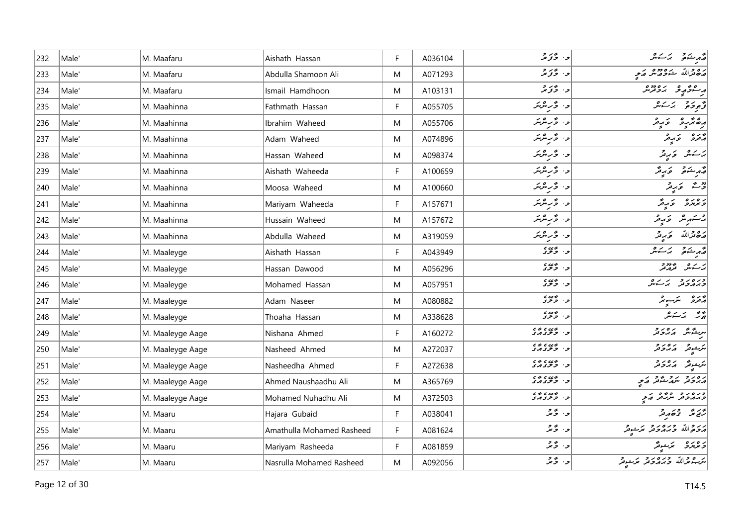| 232 | Male' | M. Maafaru       | Aishath Hassan            | F         | A036104 | د . وٌتوَ تر                    | أقرم شكوهم المركب مكر                                                                                                                                                                                                            |
|-----|-------|------------------|---------------------------|-----------|---------|---------------------------------|----------------------------------------------------------------------------------------------------------------------------------------------------------------------------------------------------------------------------------|
| 233 | Male' | M. Maafaru       | Abdulla Shamoon Ali       | M         | A071293 | وسمجة كميمر                     | برە داللە خەدە مەر                                                                                                                                                                                                               |
| 234 | Male' | M. Maafaru       | Ismail Hamdhoon           | M         | A103131 | ا د به نوکويتر                  | و صوره ده ده ده د                                                                                                                                                                                                                |
| 235 | Male' | M. Maahinna      | Fathmath Hassan           | F         | A055705 | <sub>و</sub> . ڈریٹریئر         | ۇ بۇر ئەسكىر                                                                                                                                                                                                                     |
| 236 | Male' | M. Maahinna      | Ibrahim Waheed            | M         | A055706 | د بە ئار بارىكە                 | رە ئرىر ئىرىر                                                                                                                                                                                                                    |
| 237 | Male' | M. Maahinna      | Adam Waheed               | M         | A074896 | ە بە ئۇر ئەرىكە                 | وره درو                                                                                                                                                                                                                          |
| 238 | Male' | M. Maahinna      | Hassan Waheed             | ${\sf M}$ | A098374 | و. ژٌرِ عربئر                   | برسەش ئەرىر                                                                                                                                                                                                                      |
| 239 | Male' | M. Maahinna      | Aishath Waheeda           | F         | A100659 | د . گرېگونکر                    |                                                                                                                                                                                                                                  |
| 240 | Male' | M. Maahinna      | Moosa Waheed              | M         | A100660 | و• ځرینګر                       | دو شده انداد در در انداد کردند.<br>در سنگاه انداز کاروند                                                                                                                                                                         |
| 241 | Male' | M. Maahinna      | Mariyam Waheeda           | F         | A157671 | د· ڈریگریٹر                     | دەرە دېڭر                                                                                                                                                                                                                        |
| 242 | Male' | M. Maahinna      | Hussain Waheed            | M         | A157672 | د. ڈریگریز                      | برستهر شركته وتباريخه                                                                                                                                                                                                            |
| 243 | Male' | M. Maahinna      | Abdulla Waheed            | ${\sf M}$ | A319059 | د . د څر مرمتر                  | برة قرالله عربه قر                                                                                                                                                                                                               |
| 244 | Male' | M. Maaleyge      | Aishath Hassan            | F         | A043949 | و به عنوان<br>و گرو             | ە ئەستىق ئەسكىش                                                                                                                                                                                                                  |
| 245 | Male' | M. Maaleyge      | Hassan Dawood             | ${\sf M}$ | A056296 | و . نوی .<br>و . نوموی          |                                                                                                                                                                                                                                  |
| 246 | Male' | M. Maaleyge      | Mohamed Hassan            | ${\sf M}$ | A057951 | و . نوی .<br>و . نوموی          | ورەرو پرىش                                                                                                                                                                                                                       |
| 247 | Male' | M. Maaleyge      | Adam Naseer               | ${\sf M}$ | A080882 | و به عنوان<br>و گرو             | أوره سكب و                                                                                                                                                                                                                       |
| 248 | Male' | M. Maaleyge      | Thoaha Hassan             | M         | A338628 | و به عنوان<br>و گرو             | ۇر ئەسكىر                                                                                                                                                                                                                        |
| 249 | Male' | M. Maaleyge Aage | Nishana Ahmed             | F         | A160272 | و به وده و و<br>و به مرکز در و  | س شگس کار دیگر در                                                                                                                                                                                                                |
| 250 | Male' | M. Maaleyge Aage | Nasheed Ahmed             | ${\sf M}$ | A272037 | و به عن و و د<br>و به مرکز در ی | پرشونز - در در در در در در ا                                                                                                                                                                                                     |
| 251 | Male' | M. Maaleyge Aage | Nasheedha Ahmed           | F         | A272638 | و به عن د و د<br>و به مرکز د ک  | سَرَسْوِمَرَ - 12 در و                                                                                                                                                                                                           |
| 252 | Male' | M. Maaleyge Aage | Ahmed Naushaadhu Ali      | M         | A365769 | و به وده و و<br>و به مرد و د    | גם גד גד הבי הב                                                                                                                                                                                                                  |
| 253 | Male' | M. Maaleyge Aage | Mohamed Nuhadhu Ali       | M         | A372503 | و به عن و و د<br>و به مرموند و  | ورەرو وود دىگر                                                                                                                                                                                                                   |
| 254 | Male' | M. Maaru         | Hajara Gubaid             | F         | A038041 | د کمیمر                         | بور بود در در در بالاسترات به بالاسترات به بالاسترات بالاسترات بالاسترات بالاسترات بالاسترات بالاسترات بالاستر<br>مربع بالاسترات بالاسترات بالاسترات بالاسترات بالاسترات بالاسترات بالاسترات بالاسترات بالاسترات بالاسترات بالاس |
| 255 | Male' | M. Maaru         | Amathulla Mohamed Rasheed | F         | A081624 | د گمی                           | أرزوالله وبرودو بمشوقر                                                                                                                                                                                                           |
| 256 | Male' | M. Maaru         | Mariyam Rasheeda          | F         | A081859 | والمتحيم                        | و ه د ه ه پرشونگر                                                                                                                                                                                                                |
| 257 | Male' | M. Maaru         | Nasrulla Mohamed Rasheed  | M         | A092056 | والمتحيم                        | بترب وتالله وبرودور برحومر                                                                                                                                                                                                       |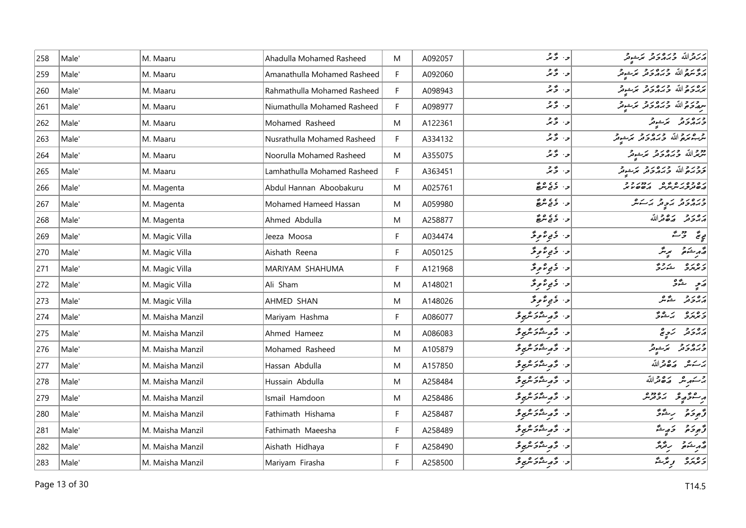| 258 | Male' | M. Maaru         | Ahadulla Mohamed Rasheed    | M | A092057 | د. څنړ                                      | وروالله وبروود برجود                                                                      |
|-----|-------|------------------|-----------------------------|---|---------|---------------------------------------------|-------------------------------------------------------------------------------------------|
| 259 | Male' | M. Maaru         | Amanathulla Mohamed Rasheed | F | A092060 | و٠ وٌ پُر                                   | روروالله وره رو برديد                                                                     |
| 260 | Male' | M. Maaru         | Rahmathulla Mohamed Rasheed | F | A098943 | د . څخه                                     | بروتر والله وبروتر برشوتر                                                                 |
| 261 | Male' | M. Maaru         | Niumathulla Mohamed Rasheed | F | A098977 | والمحجم                                     | مرور والله وبرورو برشور                                                                   |
| 262 | Male' | M. Maaru         | Mohamed Rasheed             | M | A122361 | والمحجم                                     | وره رو کرشونر<br>احمد مرکب کر                                                             |
| 263 | Male' | M. Maaru         | Nusrathulla Mohamed Rasheed | F | A334132 | وسمج تحريخه                                 | و مرد الله و رو د و بر مورد<br>س و مرد الله و بر رو تر مر مورد                            |
| 264 | Male' | M. Maaru         | Noorulla Mohamed Rasheed    | M | A355075 | والمتح تمر                                  | دو الله وبره دو بر دو<br>مربرالله وبرمرونر برشونر                                         |
| 265 | Male' | M. Maaru         | Lamhathulla Mohamed Rasheed | F | A363451 | والمحجم                                     | ودروالله وبرەرو برجود                                                                     |
| 266 | Male' | M. Magenta       | Abdul Hannan Aboobakuru     | M | A025761 | <sub>و</sub> ، و <sub>قم</sub> رچ           | ג ס כ ס ג ס ג ס ג ב כ כ<br>ג ס تر כ ג سرس شر د ה ס ס ע ה                                  |
| 267 | Male' | M. Magenta       | Mohamed Hameed Hassan       | M | A059980 | ے بے عر <i>وی</i><br>ح                      | ورەرو بروتر برخش                                                                          |
| 268 | Male' | M. Magenta       | Ahmed Abdulla               | M | A258877 | و. وَقِ سَرْحَ                              | برەرد برە دالله                                                                           |
| 269 | Male' | M. Magic Villa   | Jeeza Moosa                 | F | A034474 | ر <sub>ز ځو</sub> رمونځ                     | مٍ حج حمد حجر مصر                                                                         |
| 270 | Male' | M. Magic Villa   | Aishath Reena               | F | A050125 | د کوم گوځه                                  | ۇرمىسى ئېرىگر                                                                             |
| 271 | Male' | M. Magic Villa   | MARIYAM SHAHUMA             | F | A121968 | و· ۇي <sub>م</sub> رمۇمۇ                    | ر ه ر ه<br><del>د</del> بربرگ<br>ے ترقر                                                   |
| 272 | Male' | M. Magic Villa   | Ali Sham                    | M | A148021 | د· ڈی <sub>م</sub> ِرو وگر                  | $\begin{array}{cc} 2\stackrel{\circ}{\sim} & \circ & \circ\\ & \circ & \circ \end{array}$ |
| 273 | Male' | M. Magic Villa   | AHMED SHAN                  | M | A148026 | <mark>و· ځوړه وڅ</mark>                     | رەر ئەشر                                                                                  |
| 274 | Male' | M. Maisha Manzil | Mariyam Hashma              | F | A086077 | ە ئەيشۇتىر بول                              | رەرە يەشۇ                                                                                 |
| 275 | Male' | M. Maisha Manzil | Ahmed Hameez                | M | A086083 | و گەيشگە ئىسى ئى                            | رەرو ئېچ                                                                                  |
| 276 | Male' | M. Maisha Manzil | Mohamed Rasheed             | M | A105879 | و گەرشگە ئەسمى ئى                           | ورەرو بەيدۇ                                                                               |
| 277 | Male' | M. Maisha Manzil | Hassan Abdulla              | M | A157850 | لى. ئۇرمىئۇترى <i>تى</i> ئى                 | تركيش مكافرالله                                                                           |
| 278 | Male' | M. Maisha Manzil | Hussain Abdulla             | M | A258484 | د. د <sub>گ</sub> رڅوکر <sub>منځو</sub> لو  | جرسكريثر الاقتحالله                                                                       |
| 279 | Male' | M. Maisha Manzil | Ismail Hamdoon              | M | A258486 | ى ئۇرمىشى <i>ر شىرى</i>                     | وصفح والمعدود والمحدود                                                                    |
| 280 | Male' | M. Maisha Manzil | Fathimath Hishama           | F | A258487 | <sub>و</sub> . د <sub>ۇم</sub> ىشۇر مىيى ئى | قَهْ وَجَعْ فَرَ سَنَّةً وَ                                                               |
| 281 | Male' | M. Maisha Manzil | Fathimath Maeesha           | F | A258489 | و . ۇرمىشۇر شىرق                            | وً وَوَدَهُ وَرِيشٌ                                                                       |
| 282 | Male' | M. Maisha Manzil | Aishath Hidhaya             | F | A258490 | ى ئۇرسۇكەتلىرى<br>مەنبۇر                    | أقهر مشتوقه الرقرقر                                                                       |
| 283 | Male' | M. Maisha Manzil | Mariyam Firasha             | F | A258500 | ى ئۇرسۇكەتلىرى<br>مەنبۇر                    | د ۱۵ د و پژمگ                                                                             |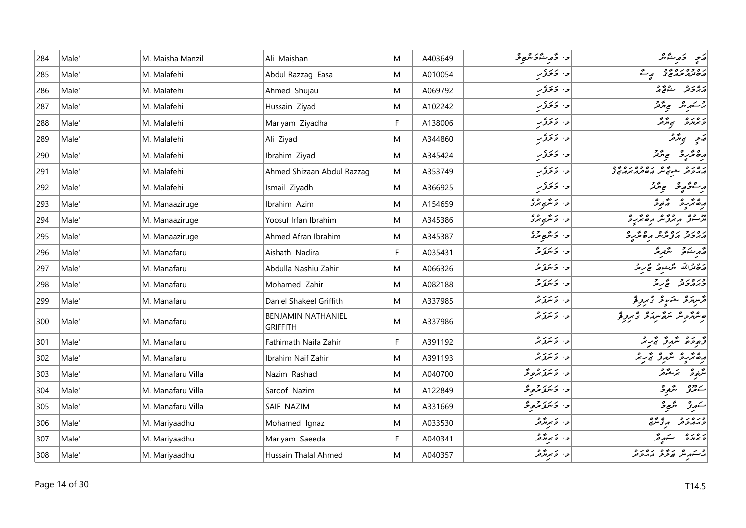| 284 | Male' | M. Maisha Manzil  | Ali Maishan                           | ${\sf M}$ | A403649 | ە ئەيشۇتىر بو                 | أرتموا أتركم والمقابل               |
|-----|-------|-------------------|---------------------------------------|-----------|---------|-------------------------------|-------------------------------------|
| 285 | Male' | M. Malafehi       | Abdul Razzag Easa                     | ${\sf M}$ | A010054 | د کا تروکر                    | ره وه ره و د محمد میکنیم.           |
| 286 | Male' | M. Malafehi       | Ahmed Shujau                          | M         | A069792 | د· دَ دَوْر                   | ره ر و د و و د<br>(د برو تر سنونج ه |
| 287 | Male' | M. Malafehi       | Hussain Ziyad                         | M         | A102242 | <mark>ى ئەتزى</mark> زىر      | 2سكەر مىش بىر تەركىسى<br> -         |
| 288 | Male' | M. Malafehi       | Mariyam Ziyadha                       | F         | A138006 | ە ئەقۇر                       | كرەرە بى ئۇقە                       |
| 289 | Male' | M. Malafehi       | Ali Ziyad                             | M         | A344860 | ە ئەنۇب                       | أوأمج المحجمة                       |
| 290 | Male' | M. Malafehi       | Ibrahim Ziyad                         | M         | A345424 | <mark>ى ئۇتۇر</mark>          | مەھەر بەر ئەمدىر                    |
| 291 | Male' | M. Malafehi       | Ahmed Shizaan Abdul Razzag            | M         | A353749 | و- 153 كمبر                   |                                     |
| 292 | Male' | M. Malafehi       | Ismail Ziyadh                         | M         | A366925 | و• ۇۇۋىر                      | وڪوڻيو پرڏھ                         |
| 293 | Male' | M. Manaaziruge    | Ibrahim Azim                          | M         | A154659 | د . ئەنگىي بىرى               |                                     |
| 294 | Male' | M. Manaaziruge    | Yoosuf Irfan Ibrahim                  | M         | A345386 | <sub>د •</sub> ئەنگەپرىمى<br> | מ- כף התצייק הסיקיקיפ               |
| 295 | Male' | M. Manaaziruge    | Ahmed Afran Ibrahim                   | M         | A345387 | و· ځه شمېر سره                | נפנד נפית הסיקים                    |
| 296 | Male' | M. Manafaru       | Aishath Nadira                        | F         | A035431 | والمركاني تمر                 | ۇرمۇق ئىرىگە                        |
| 297 | Male' | M. Manafaru       | Abdulla Nashiu Zahir                  | M         | A066326 | والمركاني تمركز               | رە قەللە مەدرە ئىرىم                |
| 298 | Male' | M. Manafaru       | Mohamed Zahir                         | ${\sf M}$ | A082188 | د . ئ <i>ەنگە</i> تمە         | ورور و و                            |
| 299 | Male' | M. Manafaru       | Daniel Shakeel Griffith               | ${\sf M}$ | A337985 | د . ئ <i>ەنگە</i> تمە         | فكسريكر كالموفى ومروفى              |
| 300 | Male' | M. Manafaru       | BENJAMIN NATHANIEL<br><b>GRIFFITH</b> | M         | A337986 | والمركاني تمركز               | مستركة مستقبل المستوفى              |
| 301 | Male' | M. Manafaru       | Fathimath Naifa Zahir                 | F         | A391192 | والمركاني تمركز               | و دو شمرو ځريز                      |
| 302 | Male' | M. Manafaru       | Ibrahim Naif Zahir                    | M         | A391193 | د - ئەنى <i>زى</i> گە         | رە ئەر ئەسمىر ئاسىمى                |
| 303 | Male' | M. Manafaru Villa | Nazim Rashad                          | ${\sf M}$ | A040700 | ە - ئەنىز ترەپ                | شَهْرِ حَمَدْ مَدْ                  |
| 304 | Male' | M. Manafaru Villa | Saroof Nazim                          | M         | A122849 | ە - ئەنىز ترەۋ                | روده<br>سگفجر ثر                    |
| 305 | Male' | M. Manafaru Villa | SAIF NAZIM                            | M         | A331669 | د· دَسَمَةَ مَرْهِ مَّ        | سَّتَبِعٍ رُ<br> سەرى               |
| 306 | Male' | M. Mariyaadhu     | Mohamed Ignaz                         | ${\sf M}$ | A033530 | والمحميرة و                   | ورورو رومو                          |
| 307 | Male' | M. Mariyaadhu     | Mariyam Saeeda                        | F         | A040341 | ه ز کرمرگر                    | د ه د و سوپر                        |
| 308 | Male' | M. Mariyaadhu     | Hussain Thalal Ahmed                  | ${\sf M}$ | A040357 | و٠ وَ برېژنر                  | ر کرد. ه بروتر ده د و               |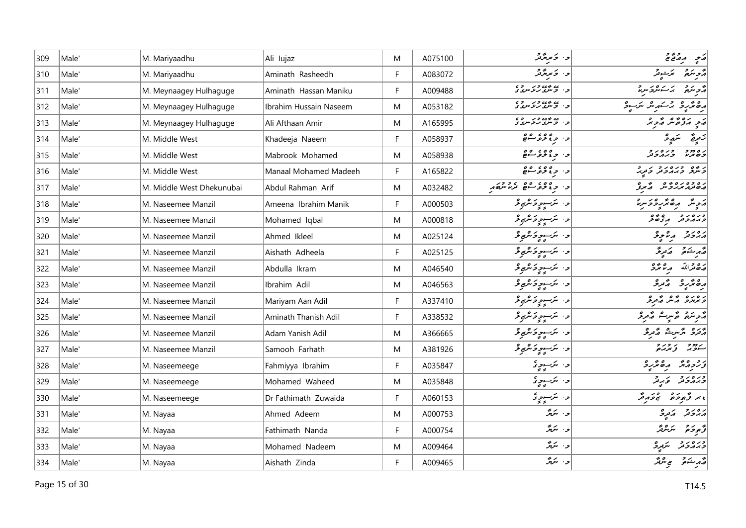| 309 | Male' | M. Mariyaadhu             | Ali lujaz              | M         | A075100 | و کو پروگر                                                                                               |                                                                    |
|-----|-------|---------------------------|------------------------|-----------|---------|----------------------------------------------------------------------------------------------------------|--------------------------------------------------------------------|
| 310 | Male' | M. Mariyaadhu             | Aminath Rasheedh       | F         | A083072 | و· ك <sup>ې</sup> تروگر                                                                                  | أأروبتكم بمنفوش                                                    |
| 311 | Male' | M. Meynaagey Hulhaguge    | Aminath Hassan Maniku  | F         | A009488 | د . ده ده ده د .<br>د . د سر د رو سر د                                                                   | ה גב גבות ב                                                        |
| 312 | Male' | M. Meynaagey Hulhaguge    | Ibrahim Hussain Naseem | ${\sf M}$ | A053182 | ه به عده وروه<br>و گرس دسو                                                                               | رەپرىرو بر سەر سىر سىر د                                           |
| 313 | Male' | M. Meynaagey Hulhaguge    | Ali Afthaan Amir       | M         | A165995 | ه به عده وروه<br>و گرس دسو                                                                               | ב בי הרבית בכב                                                     |
| 314 | Male' | M. Middle West            | Khadeeja Naeem         | F         | A058937 | وسوء موه سقط                                                                                             | كتعريج التمريح                                                     |
| 315 | Male' | M. Middle West            | Mabrook Mohamed        | ${\sf M}$ | A058938 | وسوء وه وه                                                                                               | و ره ر د<br>تر پر تر تر<br>ر ه دد د<br><del>ر</del> ت <i>ق</i> ریم |
| 316 | Male' | M. Middle West            | Manaal Mohamed Madeeh  | F         | A165822 | وسوء مورضع                                                                                               | د ۶۶ و ۲۵۷۶ د د                                                    |
| 317 | Male' | M. Middle West Dhekunubai | Abdul Rahman Arif      | M         | A032482 | ومستحده والمتعدد والمتحدر المتحدر المتحدر المتحدر المتحدر المتحدر المتحدر المتحدر المتحدر المتحدر المتحد | ג ם כם גם גם היי בי<br>הם בקה הגבית היי גל                         |
| 318 | Male' | M. Naseemee Manzil        | Ameena Ibrahim Manik   | F         | A000503 | و· سُرَسودِ دَسْمِهِ دُ                                                                                  | أروش وكالمرود والراد                                               |
| 319 | Male' | M. Naseemee Manzil        | Mohamed Iqbal          | M         | A000818 | ى سىسوپە ئىرىمى ئى                                                                                       | כנסנכ סיפ<br>כגתכת תציפי                                           |
| 320 | Male' | M. Naseemee Manzil        | Ahmed Ikleel           | M         | A025124 | <i>و، مۇسوچە ئىرى</i> گو                                                                                 | ر ە ر د<br>م.رخ مر<br>برءموعه                                      |
| 321 | Male' | M. Naseemee Manzil        | Aishath Adheela        | F         | A025125 | ى سىسى <i>ر ئەشتى</i> ر ئىل                                                                              | ړې شکو کامرنگ                                                      |
| 322 | Male' | M. Naseemee Manzil        | Abdulla Ikram          | M         | A046540 | <sub>و</sub> . <sub>س</sub> رسوچە ئىرىمو ق                                                               | برە تراللە<br>ەر ئەمۇر                                             |
| 323 | Male' | M. Naseemee Manzil        | Ibrahim Adil           | M         | A046563 | ى سىسوچە ئىبوقى                                                                                          | رە ئرىر ئىرگى                                                      |
| 324 | Male' | M. Naseemee Manzil        | Mariyam Aan Adil       | F         | A337410 | ار. ئىز سوچە ئىرىدى.<br>ئىستىمبو ئىرىدىن ئىر                                                             | גם גם בים ביתיב                                                    |
| 325 | Male' | M. Naseemee Manzil        | Aminath Thanish Adil   | F         | A338532 | ى سىر مەھرىم مىلىم ئىلىم                                                                                 | أزوينهم فأبرب أأروقه                                               |
| 326 | Male' | M. Naseemee Manzil        | Adam Yanish Adil       | ${\sf M}$ | A366665 | ى سەسىرى ئىرىمى ئى                                                                                       | أزوره أأراس أأورد                                                  |
| 327 | Male' | M. Naseemee Manzil        | Samooh Farhath         | ${\sf M}$ | A381926 | ر. س <i>رڪوچي شي</i> و                                                                                   | سەدىر<br>ىر 2 بەر 2<br>تو ئىرىر <i>م</i> و                         |
| 328 | Male' | M. Naseemeege             | Fahmiyya Ibrahim       | F         | A035847 | و، مگرسو <i>و</i> گی                                                                                     | ۇ ئرىر بەرگە<br>ە ھەترىر ۋ                                         |
| 329 | Male' | M. Naseemeege             | Mohamed Waheed         | ${\sf M}$ | A035848 |                                                                                                          | ورەرو كەر                                                          |
| 330 | Male' | M. Naseemeege             | Dr Fathimath Zuwaida   | F         | A060153 | د . مگرسود کی<br>م                                                                                       | ، ئۇ بۇ ئەھ بۇ ئەر                                                 |
| 331 | Male' | M. Nayaa                  | Ahmed Adeem            | M         | A000753 | و· سَرَدٌ                                                                                                | أرور و بر و                                                        |
| 332 | Male' | M. Nayaa                  | Fathimath Nanda        | F         | A000754 | و. سَرَدٌ                                                                                                | و بحر بحر المعاملة المستر                                          |
| 333 | Male' | M. Nayaa                  | Mohamed Nadeem         | M         | A009464 | و· سَرَگَر                                                                                               | و ر ه ر د<br>تر پر ژ تر<br>سكورد                                   |
| 334 | Male' | M. Nayaa                  | Aishath Zinda          | F         | A009465 | و· سَرَدٌ                                                                                                | أقرم شكوته بمج مثرقد                                               |
|     |       |                           |                        |           |         |                                                                                                          |                                                                    |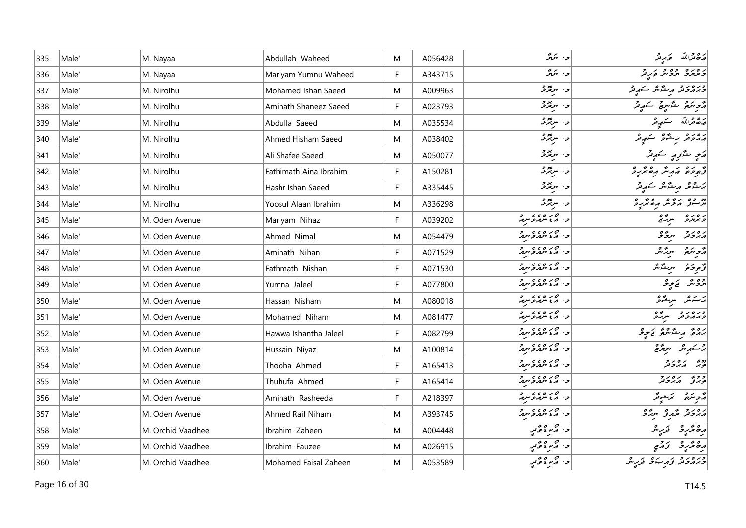| 335 | Male' | M. Nayaa          | Abdullah Waheed         | M  | A056428 | و· سَرَدٌ                             | ح قوالله عربر قر                        |
|-----|-------|-------------------|-------------------------|----|---------|---------------------------------------|-----------------------------------------|
| 336 | Male' | M. Nayaa          | Mariyam Yumnu Waheed    | F. | A343715 | و· سَرَبَّز                           | رەرە دە دېر د                           |
| 337 | Male' | M. Nirolhu        | Mohamed Ishan Saeed     | M  | A009963 | و، سرپوری                             | ورورو رئیگر شهر                         |
| 338 | Male' | M. Nirolhu        | Aminath Shaneez Saeed   | F  | A023793 | و، سرپرو                              | أدوسكم كالمستج كتهار                    |
| 339 | Male' | M. Nirolhu        | Abdulla Saeed           | M  | A035534 | و، سرپرو                              | رەقمەللە خەرىتمە                        |
| 340 | Male' | M. Nirolhu        | Ahmed Hisham Saeed      | M  | A038402 | و، سرچرو                              | رەر دېرىقو سەرتى                        |
| 341 | Male' | M. Nirolhu        | Ali Shafee Saeed        | M  | A050077 | و . سرپور                             | ړې خوږ خپه                              |
| 342 | Male' | M. Nirolhu        | Fathimath Aina Ibrahim  | E  | A150281 | و، سرپرو                              | ژّودَهْ مَه برّ مِهْتُرٍ دُ             |
| 343 | Male' | M. Nirolhu        | Hashr Ishan Saeed       | F  | A335445 | و، سرپورو                             | برے پر پر شہر کے پر قر                  |
| 344 | Male' | M. Nirolhu        | Yoosuf Alaan Ibrahim    | M  | A336298 | و. سرپرو                              | ת כם ג'בית תפיק ב                       |
| 345 | Male' | M. Oden Avenue    | Mariyam Nihaz           | F  | A039202 |                                       | ر ه ر ه<br><del>ر</del> بربرگ<br>سررجيح |
| 346 | Male' | M. Oden Avenue    | Ahmed Nimal             | M  | A054479 | ם י הו בים בי הב                      | ر ەر د<br>م.رى تر<br>سرد و              |
| 347 | Male' | M. Oden Avenue    | Aminath Nihan           | F  | A071529 |                                       | سرترىثر<br>أثر جريئتمو                  |
| 348 | Male' | M. Oden Avenue    | Fathmath Nishan         | F  | A071530 | פי הז ייתה פיתה                       | ۇپرۇتۇ سېشىر                            |
| 349 | Male' | M. Oden Avenue    | Yumna Jaleel            | F  | A077800 | ם י הו בים בי היב<br>כי הו ייתה פייתה | دە ئە ئەبە                              |
| 350 | Male' | M. Oden Avenue    | Hassan Nisham           | M  | A080018 | כ הז ייתה כיתה                        | ىركىش سىشى                              |
| 351 | Male' | M. Oden Avenue    | Mohamed Niham           | M  | A081477 | כי הזיית בית                          | وره دو سرگرو                            |
| 352 | Male' | M. Oden Avenue    | Hawwa Ishantha Jaleel   | F  | A082799 | פי הז ייתה פייתה                      | بروء أربيشهم فأجرعه                     |
| 353 | Male' | M. Oden Avenue    | Hussain Niyaz           | M  | A100814 | פי הז ייתה פיתה                       | ير سكر مثل المريد من المراجع            |
| 354 | Male' | M. Oden Avenue    | Thooha Ahmed            | F  | A165413 | כי הז ייתה פיתה                       | מי גפניק<br>פג' ג'גבע                   |
| 355 | Male' | M. Oden Avenue    | Thuhufa Ahmed           | F  | A165414 | ם י הו כי ים יידי ב                   | ووه ده دور                              |
| 356 | Male' | M. Oden Avenue    | Aminath Rasheeda        | F  | A218397 | כי הזיית בית                          | مەھ سىكە ئىسىسىدىگر                     |
| 357 | Male' | M. Oden Avenue    | <b>Ahmed Raif Niham</b> | M  | A393745 | פי הז ייתה פייתה                      | גפנד ג'ול תנב                           |
| 358 | Male' | M. Orchid Vaadhee | Ibrahim Zaheen          | M  | A004448 | ح به مرگور محمد<br>ح به مرگور محمد    | ەر ھەتمەر 2<br>ر<br>فترريش              |
| 359 | Male' | M. Orchid Vaadhee | Ibrahim Fauzee          | M  | A026915 | -<br> - د کمبر و ه ه تومبر            | ەرھ ئ <sup>ۆ</sup> ر ۋ<br>و د هم سي     |
| 360 | Male' | M. Orchid Vaadhee | Mohamed Faisal Zaheen   | M  | A053589 | -<br>ح · د ګړې څوګیږ                  | ورەرو زېرىكى ترېپ                       |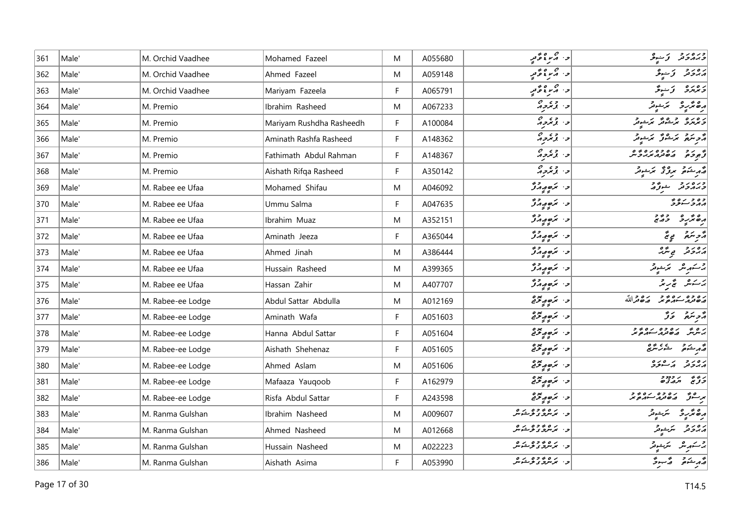| 361 | Male' | M. Orchid Vaadhee | Mohamed Fazeel           | M  | A055680 | ه . هم ، ه ه پر                                 | ورەرو تەنبىۋ                                                                                                    |
|-----|-------|-------------------|--------------------------|----|---------|-------------------------------------------------|-----------------------------------------------------------------------------------------------------------------|
| 362 | Male' | M. Orchid Vaadhee | Ahmed Fazeel             | M  | A059148 | -<br> ح• مربوع عرقبه                            | دەرد تىندى                                                                                                      |
| 363 | Male' | M. Orchid Vaadhee | Mariyam Fazeela          | F. | A065791 | - م م ه ه ه تور                                 | دەرە ئەيدۇ                                                                                                      |
| 364 | Male' | M. Premio         | Ibrahim Rasheed          | M  | A067233 | د . و پر د م                                    | أرە ئۆر ئەسىم ئەسىر                                                                                             |
| 365 | Male' | M. Premio         | Mariyam Rushdha Rasheedh | F  | A100084 | د . بوټرو چ                                     | ر ٥ ر ٥ - ٥ - ٥ مر شوتر<br>تر بر بر تر شوتر بر شوتر                                                             |
| 366 | Male' | M. Premio         | Aminath Rashfa Rasheed   | F  | A148362 | د . بر ترد م                                    | أأو مكم أكرك والمحرك المراكب                                                                                    |
| 367 | Male' | M. Premio         | Fathimath Abdul Rahman   | F  | A148367 | د· بۇغرىرگە                                     | ם ני ניסיפונים בס<br>צףכים השנגודגובית                                                                          |
| 368 | Male' | M. Premio         | Aishath Rifga Rasheed    | F  | A350142 | د . بۇ ئرىر بۇ                                  | وكرمشكم بروقى بمشير                                                                                             |
| 369 | Male' | M. Rabee ee Ufaa  | Mohamed Shifau           | M  | A046092 | و· ئۈچەردۇ                                      | ورەرو شوۋە                                                                                                      |
| 370 | Male' | M. Rabee ee Ufaa  | Ummu Salma               | F  | A047635 | و <sub>:</sub> ئۈم مۇرگ                         | وه و د و و<br>ممرو سنوو                                                                                         |
| 371 | Male' | M. Rabee ee Ufaa  | Ibrahim Muaz             | M  | A352151 | د· ئۈچەردۇ                                      | ת פיציב בריב                                                                                                    |
| 372 | Male' | M. Rabee ee Ufaa  | Aminath Jeeza            | F  | A365044 | د· ئۈمەدرى<br>سىم                               | أأرجع فمجمج                                                                                                     |
| 373 | Male' | M. Rabee ee Ufaa  | Ahmed Jinah              | M  | A386444 | د· ئۈممەرگە                                     | دەر د په شر                                                                                                     |
| 374 | Male' | M. Rabee ee Ufaa  | Hussain Rasheed          | M  | A399365 | د· ئۈم مەدىر                                    | برسكريش الكرجوش                                                                                                 |
| 375 | Male' | M. Rabee ee Ufaa  | Hassan Zahir             | M  | A407707 | د· ئۈم مەدىر                                    | يرسك على مح سر مر                                                                                               |
| 376 | Male' | M. Rabee-ee Lodge | Abdul Sattar Abdulla     | M  | A012169 | و· برَهِ مروم                                   | ر ٥ <i>٥ ٥ ٥ ٥ ٥ ٠</i><br>۵ <i>۵ تر ۹ سه ۹ و</i> بر<br>ەھىراللە                                                 |
| 377 | Male' | M. Rabee-ee Lodge | Aminath Wafa             | F  | A051603 | وسترھ مرحمق                                     | ړې سره کو                                                                                                       |
| 378 | Male' | M. Rabee-ee Lodge | Hanna Abdul Sattar       | F. | A051604 | وسترج و پژو                                     | ره مه ده ده ده دور                                                                                              |
| 379 | Male' | M. Rabee-ee Lodge | Aishath Shehenaz         | F  | A051605 | و· برَصٍږ موقع                                  | ۽ ۽ ۽ صحيح<br>ڪوٽر سرچ<br>و مرکز در در در در این کار در این کار در این کار در این دارد باشد.<br>مرکز در سنگروهی |
| 380 | Male' | M. Rabee-ee Lodge | Ahmed Aslam              | M  | A051606 | و . نرچ مرکزم<br>و . نرچ مرکزم                  | بر 2 د د<br>مربر <del>5</del> تر<br>برعبود                                                                      |
| 381 | Male' | M. Rabee-ee Lodge | Mafaaza Yauqoob          | F  | A162979 | و . نرچ مردم<br>و . نرچ مردم                    | נים נדחד<br>בצם תגשים                                                                                           |
| 382 | Male' | M. Rabee-ee Lodge | Risfa Abdul Sattar       | F  | A243598 | و . نرچ مردم<br>و . نرچ مردم                    | ره وه ره دو <del>.</del><br>پره توپر سوړي<br>ىر رەپىچ                                                           |
| 383 | Male' | M. Ranma Gulshan  | Ibrahim Nasheed          | M  | A009607 | ر ، برەردە دە بەر<br>د · برىر <i>و دى</i> رىشەر | ارە ئەرىر ئەسىسىدە<br>مەمگەر ئەسىسى                                                                             |
| 384 | Male' | M. Ranma Gulshan  | Ahmed Nasheed            | M  | A012668 | ە بەر دەرەبەرە<br>مەسىر <i>بەرى بۇ</i> ستەنتى   | رەر د سرشونر<br>مەركى سرشونر                                                                                    |
| 385 | Male' | M. Ranma Gulshan  | Hussain Nasheed          | M  | A022223 | وسيمتر ويومش ش                                  | رحم المرتكز الكركبور                                                                                            |
| 386 | Male' | M. Ranma Gulshan  | Aishath Asima            | F. | A053990 | ر بەرە دەپ دە بەر<br>د بەيگەنگەن ئەسىر          | مەر شىم ئەسىر                                                                                                   |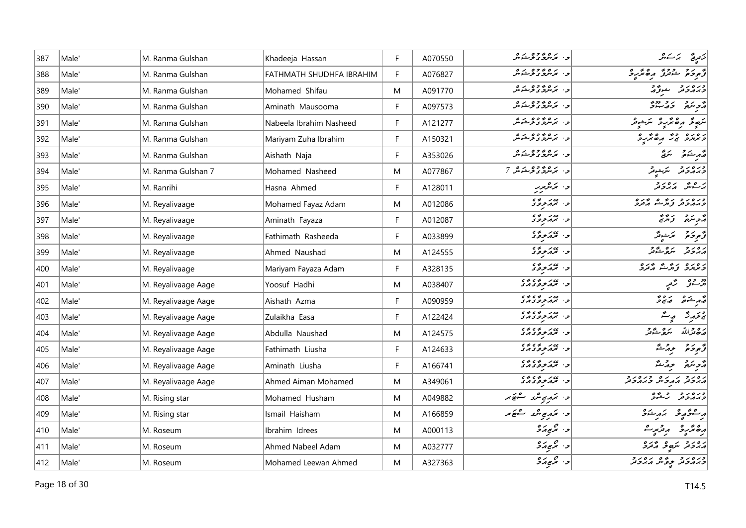| 387 | Male' | M. Ranma Gulshan    | Khadeeja Hassan          | F           | A070550 | ى بەرەپەرە دەر.<br>مەس <i>رىتى بەر</i> ئىسكەنل | زَمِرِيَّ   بَرَسَرْسُ                               |
|-----|-------|---------------------|--------------------------|-------------|---------|------------------------------------------------|------------------------------------------------------|
| 388 | Male' | M. Ranma Gulshan    | FATHMATH SHUDHFA IBRAHIM | F.          | A076827 | ر بەرە دەپ دە بەر<br>د بەرلىرى ئەسىرىش         | ژُودَه شهرژ ره پر د                                  |
| 389 | Male' | M. Ranma Gulshan    | Mohamed Shifau           | M           | A091770 | ر بەرە دەپ دە<br>د بەيرى ئەرشەش                | ورەر دېمبود                                          |
| 390 | Male' | M. Ranma Gulshan    | Aminath Mausooma         | F.          | A097573 | ر بەرە دەپ دە بەر<br>د بەرلىرى ئەسىرىش         | ה גי גי מי                                           |
| 391 | Male' | M. Ranma Gulshan    | Nabeela Ibrahim Nasheed  | F           | A121277 | ر بەر دەر دەر بەر<br>د بەر دىر ئىستەنتى        | سَهِ وَ ٱلْمُحَرِّرِ وَ سَرَجِيرَ                    |
| 392 | Male' | M. Ranma Gulshan    | Mariyam Zuha Ibrahim     | F           | A150321 | ر بەرە دەپ دە<br>د بەيرى ئەرشەش                | גם גם כל השתתפ                                       |
| 393 | Male' | M. Ranma Gulshan    | Aishath Naja             | F           | A353026 | ر بەرە دەپ دە<br>د بەيرى ئەرشەش                | مەرشىمى سىقى                                         |
| 394 | Male' | M. Ranma Gulshan 7  | Mohamed Nasheed          | ${\sf M}$   | A077867 | ە بەر <i>ە دەھەرى 7</i>                        | ورەرو شەير                                           |
| 395 | Male' | M. Ranrihi          | Hasna Ahmed              | F.          | A128011 | و- ئۈشۈر                                       | يرے پش پر در د                                       |
| 396 | Male' | M. Reyalivaage      | Mohamed Fayaz Adam       | M           | A012086 | ں ۔ سمار وی<br>وسیمار وی                       | وره رو بری ه پره<br><i>وبروون و</i> نژن متر <i>و</i> |
| 397 | Male' | M. Reyalivaage      | Aminath Fayaza           | F           | A012087 | ے میرکوی<br>وسیمہ مرکوی                        | أزجا سكتم وأرادهم                                    |
| 398 | Male' | M. Reyalivaage      | Fathimath Rasheeda       | F           | A033899 | ے میرکوی<br>وسیمہ مولوی                        | رتجوخا ما المستومر                                   |
| 399 | Male' | M. Reyalivaage      | Ahmed Naushad            | M           | A124555 | ه. په د وي                                     | رەرد برە شەر<br>مەردىر سھائىقىر                      |
| 400 | Male' | M. Reyalivaage      | Mariyam Fayaza Adam      | F           | A328135 | ے میر وی<br>حسن میر وی                         | رەرە رەپ پرە                                         |
| 401 | Male' | M. Reyalivaage Aage | Yoosuf Hadhi             | M           | A038407 | ے میر وی دی<br>د میرگردگار                     | ا پر ده شور په د                                     |
| 402 | Male' | M. Reyalivaage Aage | Aishath Azma             | F           | A090959 | ے میں دے دے<br>حسن میں شرح <sub>ک</sub> ی دی   | ه در در ده<br>مرسسو می د                             |
| 403 | Male' | M. Reyalivaage Aage | Zulaikha Easa            | F           | A122424 | ن بهر دي.<br>د برد تره ده د                    | چ ئوپر شهر میں شه                                    |
| 404 | Male' | M. Reyalivaage Aage | Abdulla Naushad          | M           | A124575 | ں دیکھ تر دی دی<br>وسیمہ تر تر تر پر د         | ەھىراللە<br>ىرە بەر<br>سرە ئىشەتىر                   |
| 405 | Male' | M. Reyalivaage Aage | Fathimath Liusha         | F           | A124633 | ن مند و د د د .<br>د ۱ مختلم پوځ د د د         | توجوخو برويقة                                        |
| 406 | Male' | M. Reyalivaage Aage | Aminath Liusha           | $\mathsf F$ | A166741 | ے میر وی دی<br>حسن میر کو دی دی                | أزوسكم وارش                                          |
| 407 | Male' | M. Reyalivaage Aage | Ahmed Aiman Mohamed      | M           | A349061 | ے میرکم وہ دی<br>د میرکم وہ دی                 | גם גב גגבית כגבבת<br>גגבת הקבית כגבבת                |
| 408 | Male' | M. Rising star      | Mohamed Husham           | M           | A049882 | و· ئىروپىشى سىۋىم                              | ورەر د د شگو                                         |
| 409 | Male' | M. Rising star      | Ismail Haisham           | M           | A166859 | اد. بزرې شره شوځ بر                            | ر جۇرپۇ بەرخۇ                                        |
| 410 | Male' | M. Roseum           | Ibrahim Idrees           | M           | A000113 | $rac{1}{2}$                                    | أرەنزىر مەنزىر ك                                     |
| 411 | Male' | M. Roseum           | Ahmed Nabeel Adam        | M           | A032777 | $rac{c}{\sqrt{2}}$                             | رورو شھو مدرو                                        |
| 412 | Male' | M. Roseum           | Mohamed Leewan Ahmed     | M           | A327363 | ا حسم بحر محمد المحمد                          | ورەر دېم دەر د                                       |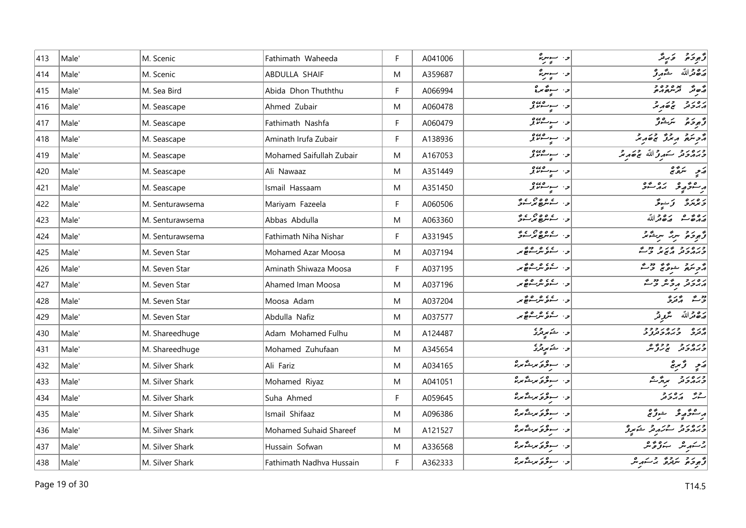| 413 | Male' | M. Scenic       | Fathimath Waheeda        | F           | A041006 | او، سومبردا<br>مستقبل                                                                               | أوالمحتجر وتحاميقه                           |
|-----|-------|-----------------|--------------------------|-------------|---------|-----------------------------------------------------------------------------------------------------|----------------------------------------------|
| 414 | Male' | M. Scenic       | ABDULLA SHAIF            | M           | A359687 | او، سومبرره<br><u>سسسست</u>                                                                         | مَە قىراللە ھەرىر                            |
| 415 | Male' | M. Sea Bird     | Abida Dhon Thuththu      | F           | A066994 | ر. سوڭەر دە                                                                                         | پر ه و ه و<br>ترسرچ پر ج<br>ا در گر<br>اور ص |
| 416 | Male' | M. Seascape     | Ahmed Zubair             | ${\sf M}$   | A060478 | $\overline{\mathfrak{g}}$<br>$\overline{\mathfrak{g}}$<br>$\overline{\mathfrak{g}}$                 | ג סג כ כרי                                   |
| 417 | Male' | M. Seascape     | Fathimath Nashfa         | $\mathsf F$ | A060479 | $\frac{1}{2}$<br>$\frac{1}{2}$                                                                      | ۋە ئەھ سىشىر                                 |
| 418 | Male' | M. Seascape     | Aminath Irufa Zubair     | F           | A138936 | $\overline{\mathcal{E}}$ $\overline{\mathcal{E}}$ $\overline{\mathcal{E}}$ $\overline{\mathcal{E}}$ | הכתב תינג בסתיב                              |
| 419 | Male' | M. Seascape     | Mohamed Saifullah Zubair | ${\sf M}$   | A167053 | $\left  e^{i\omega} e^{i\omega} \right $                                                            | ورەرو سەروالله ج ھەرىر                       |
| 420 | Male' | M. Seascape     | Ali Nawaaz               | M           | A351449 | و. سورامبرو<br>و                                                                                    |                                              |
| 421 | Male' | M. Seascape     | Ismail Hassaam           | M           | A351450 | و. سوستمبرو                                                                                         | ر عۇرپۇ بەرگە                                |
| 422 | Male' | M. Senturawsema | Mariyam Fazeela          | F           | A060506 | ى ئەھۋەر ئەم                                                                                        | دەرە تەنبۇ                                   |
| 423 | Male' | M. Senturawsema | Abbas Abdulla            | M           | A063360 | ى ئەھۋەر ئەم                                                                                        | مەم ئە مەھمەللە                              |
| 424 | Male' | M. Senturawsema | Fathimath Niha Nishar    | F           | A331945 | و. ئەمۋەرمۇرىيۇ                                                                                     | وتجاوزة البرك الراكبة                        |
| 425 | Male' | M. Seven Star   | Mohamed Azar Moosa       | M           | A037194 | ى ئەر ئۇيرىش ئە                                                                                     | כנסגב שגב מייש<br>בגמבת משית ביי             |
| 426 | Male' | M. Seven Star   | Aminath Shiwaza Moosa    | $\mathsf F$ | A037195 | ى سەھ تىرىشى <i>غى</i> ر                                                                            | أروبتم وعودة وحم                             |
| 427 | Male' | M. Seven Star   | Ahamed Iman Moosa        | ${\sf M}$   | A037196 | ى سۇمۇرسۇم بىر                                                                                      | ړه رو په ده دو ځ                             |
| 428 | Male' | M. Seven Star   | Moosa Adam               | M           | A037204 | ى ئەر ئۇيرىش ئەر                                                                                    | وژ شه د مجمد <i>و</i>                        |
| 429 | Male' | M. Seven Star   | Abdulla Nafiz            | M           | A037577 | ى سۇمۇرسۇم بىر                                                                                      | پره قرالله گھرينر                            |
| 430 | Male' | M. Shareedhuge  | Adam Mohamed Fulhu       | M           | A124487 | وسنشكير وكالمحمد                                                                                    | برره درره د د د<br>مرحد د برمرح ترو تر       |
| 431 | Male' | M. Shareedhuge  | Mohamed Zuhufaan         | M           | A345654 | و . ڪمپريزي<br>ح                                                                                    | ورەر د دوم ە<br><i>دىد</i> ىرىتى ئ           |
| 432 | Male' | M. Silver Shark | Ali Fariz                | M           | A034165 | وسيوفو بريشمره                                                                                      | أرشح ومحميرة                                 |
| 433 | Male' | M. Silver Shark | Mohamed Riyaz            | M           | A041051 | والمسوثوة برشكرة                                                                                    | وره دو بروگ                                  |
| 434 | Male' | M. Silver Shark | Suha Ahmed               | F           | A059645 | وسيوفو بريشمره                                                                                      | روم پرور و                                   |
| 435 | Male' | M. Silver Shark | Ismail Shifaaz           | M           | A096386 | <sub>ج</sub> . سودگاریدگاریداد                                                                      | ىرىسى <i>گە ئۇ</i> ھەرگە                     |
| 436 | Male' | M. Silver Shark | Mohamed Suhaid Shareef   | ${\sf M}$   | A121527 | وسيوه كالمحرمة المرار                                                                               | ورەرو جزيرو خىيرو                            |
| 437 | Male' | M. Silver Shark | Hussain Sofwan           | M           | A336568 | <sub>ج</sub> . سوئۇھ <i>برىشى بىرى</i>                                                              | بر شهر شهر می شد.<br>بر شهر سه سه بر می ش    |
| 438 | Male' | M. Silver Shark | Fathimath Nadhva Hussain | F           | A362333 | وسيتوكو يرشكرن                                                                                      | توجدة رود وركبه                              |
|     |       |                 |                          |             |         |                                                                                                     |                                              |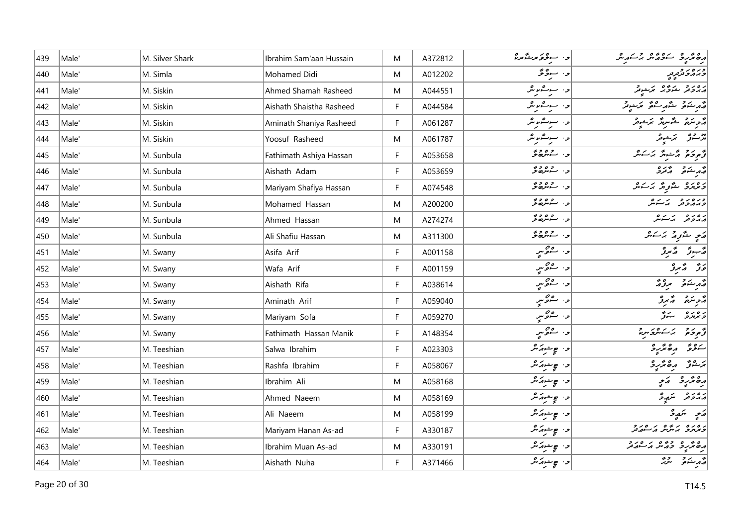| 439 | Male' | M. Silver Shark | Ibrahim Sam'aan Hussain  | M         | A372812 | وسوعة وكالمرسمة لمره                     | رەپرە سوزىر برسرىر                                      |
|-----|-------|-----------------|--------------------------|-----------|---------|------------------------------------------|---------------------------------------------------------|
| 440 | Male' | M. Simla        | Mohamed Didi             | M         | A012202 | د. سودگر                                 | 32,25 گرمزند<br>32,25 گرمزند<br>12,25 گرمزگران گرمزندگی |
| 441 | Male' | M. Siskin       | Ahmed Shamah Rasheed     | ${\sf M}$ | A044551 | د. سوس <sup>م</sup> برمگر                |                                                         |
| 442 | Male' | M. Siskin       | Aishath Shaistha Rasheed | F         | A044584 | <mark>و، سوس</mark> ىمبى <i>گ</i> ە      | د.<br>در شوه شور ده برشونر                              |
| 443 | Male' | M. Siskin       | Aminath Shaniya Rasheed  | F         | A061287 | ى سوسىمبىر<br>س                          | أأو الله فأسرأ المشوقر                                  |
| 444 | Male' | M. Siskin       | Yoosuf Rasheed           | M         | A061787 | ى سوسىمبىرى <i>گ</i> ە                   | دد وه<br>الرسونو نمر شوند                               |
| 445 | Male' | M. Sunbula      | Fathimath Ashiya Hassan  | F         | A053658 | د. سەھرىمۇ                               | توجوحو منصر بمسكر                                       |
| 446 | Male' | M. Sunbula      | Aishath Adam             | F         | A053659 | د. سەھرىمۇ                               | حمد شكور المجرد                                         |
| 447 | Male' | M. Sunbula      | Mariyam Shafiya Hassan   | F         | A074548 | د. سەندەتۇ                               | دەرە شۇرۇ ئەسەر                                         |
| 448 | Male' | M. Sunbula      | Mohamed Hassan           | ${\sf M}$ | A200200 | د. سەھرىمۇ                               | ورەرو پەسەر                                             |
| 449 | Male' | M. Sunbula      | Ahmed Hassan             | M         | A274274 | د. سەھرىمۇ                               | رەرد برخش                                               |
| 450 | Male' | M. Sunbula      | Ali Shafiu Hassan        | M         | A311300 | د. سەندەتۇ                               | أەي ئۇرۇ ئاسەش                                          |
| 451 | Male' | M. Swany        | Asifa Arif               | F         | A001158 | و. ڪوڻسي                                 | ۇسىرۇ ھېرو                                              |
| 452 | Male' | M. Swany        | Wafa Arif                | F         | A001159 | اح مقومیر                                | ءَڙَ شَعرو                                              |
| 453 | Male' | M. Swany        | Aishath Rifa             | F         | A038614 | -<br> - سنوچسپه                          | پ <sup>و</sup> پر ڪوي <sub>و</sub><br>ىجودى             |
| 454 | Male' | M. Swany        | Aminath Arif             | F         | A059040 | $\overline{\mathcal{Q}_{\mathcal{Q}}$ سر | أزوينهم أأربو                                           |
| 455 | Male' | M. Swany        | Mariyam Sofa             | F         | A059270 | احز، سقومبر                              | رەرە بەۋ                                                |
| 456 | Male' | M. Swany        | Fathimath Hassan Manik   | F         | A148354 | -<br> و· سنومبر                          | ىر سەھ بىر بىر<br>ۇ بور د                               |
| 457 | Male' | M. Teeshian     | Salwa Ibrahim            | F         | A023303 | د ، جو شوړکر                             | سوقه رەيزىر                                             |
| 458 | Male' | M. Teeshian     | Rashfa Ibrahim           | F         | A058067 | و، ھېشوټرنګر                             | دەنزېرد<br>ىرشۇ ئە                                      |
| 459 | Male' | M. Teeshian     | Ibrahim Ali              | M         | A058168 | ار. ھې شور شر<br>ڪيمبر                   | رە ئرىر ئىي                                             |
| 460 | Male' | M. Teeshian     | Ahmed Naeem              | ${\sf M}$ | A058169 | و. ھوشوركر                               | גפיב תגל                                                |
| 461 | Male' | M. Teeshian     | Ali Naeem                | ${\sf M}$ | A058199 | و· ھوشور مگر                             | أەيج التمدي                                             |
| 462 | Male' | M. Teeshian     | Mariyam Hanan As-ad      | F         | A330187 | و. ھېشوټرىشر                             | גם גם גודם גם גם.<br>כמחב גותית ה-המת                   |
| 463 | Male' | M. Teeshian     | Ibrahim Muan As-ad       | M         | A330191 | وسي عصر كم مكر                           | הם מים כמית ה-בנב                                       |
| 464 | Male' | M. Teeshian     | Aishath Nuha             | F         | A371466 | و. ھېشوټر شر                             | اړم شوه سرگه                                            |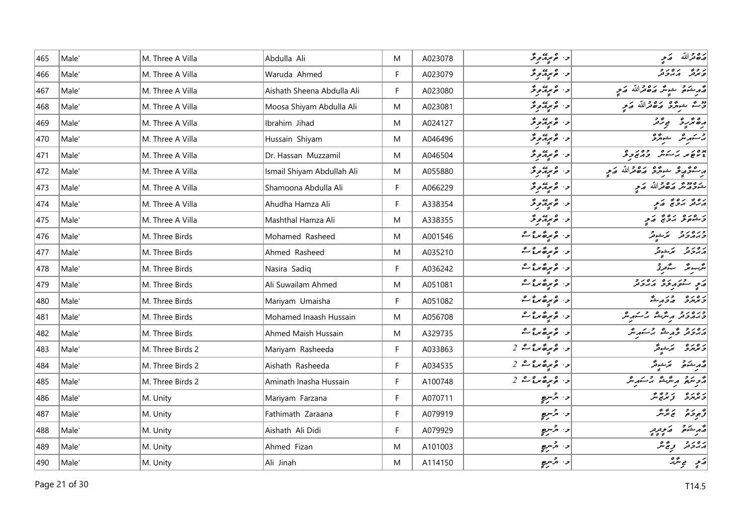| 465 | Male' | M. Three A Villa | Abdulla Ali                | M           | A023078 | <sub>ح</sub> . ء <sub>ُ ميرمگرم<sub>و</sub>مگر</sub>                                                                                                                             | پرچ قرالله   پرچ                                                                                     |
|-----|-------|------------------|----------------------------|-------------|---------|----------------------------------------------------------------------------------------------------------------------------------------------------------------------------------|------------------------------------------------------------------------------------------------------|
| 466 | Male' | M. Three A Villa | Waruda Ahmed               | F           | A023079 | د· <sub>م</sub> وسم مير<br>د· موس <sub>م</sub> مر                                                                                                                                | ر و په دره رو<br>و برتر که بروتر                                                                     |
| 467 | Male' | M. Three A Villa | Aishath Sheena Abdulla Ali | F           | A023080 | <sub>ح</sub> . ء <sub>ُ ميرمگرم<sub>و</sub>مگر</sub>                                                                                                                             | ومرشدة سويتر وكافترالله وكبحي                                                                        |
| 468 | Male' | M. Three A Villa | Moosa Shiyam Abdulla Ali   | M           | A023081 | د <sub>و مو</sub> رکو د                                                                                                                                                          | حرث شوره بره والله مرد                                                                               |
| 469 | Male' | M. Three A Villa | Ibrahim Jihad              | M           | A024127 | و· <sub>قويم</sub> ريمونژ                                                                                                                                                        | ە ئەرە بەر<br>بەھتەرە بېرىر                                                                          |
| 470 | Male' | M. Three A Villa | Hussain Shiyam             | M           | A046496 | و· ه پروګوڅ                                                                                                                                                                      | جر شهر مشور ده در در در د                                                                            |
| 471 | Male' | M. Three A Villa | Dr. Hassan Muzzamil        | M           | A046504 | د <sub>و م</sub> ریز و د                                                                                                                                                         |                                                                                                      |
| 472 | Male' | M. Three A Villa | Ismail Shiyam Abdullah Ali | M           | A055880 | د <sub>و مو</sub> رکو د                                                                                                                                                          | مر مشتر الله عن الله عن الله الله من الله عن الله عن الله عن الله عن الله عن الله عن الله عن الله عن |
| 473 | Male' | M. Three A Villa | Shamoona Abdulla Ali       | F           | A066229 | <sub>ح</sub> . ء <sub>ُ ميرمگرمونڅه</sub>                                                                                                                                        | ية ودير محافظ الله الأسمح                                                                            |
| 474 | Male' | M. Three A Villa | Ahudha Hamza Ali           | F           | A338354 | ح المحمد من محركة محركة محركة محركة من محركة المناسبة والتجربات<br>مناسبة المحمد المحركة المحركة المحركة المحركة المحركة المناسبة المناسبة والمناسبة المناسبة والمناسبة المناسبة | رەپ رەپ كەير                                                                                         |
| 475 | Male' | M. Three A Villa | Mashthal Hamza Ali         | M           | A338355 | د <sub>و موک</sub> رو ځ                                                                                                                                                          |                                                                                                      |
| 476 | Male' | M. Three Birds   | Mohamed Rasheed            | M           | A001546 | ر <sub>،</sub> م <sub>و</sub> بر ځمر ؟ <sub>م</sub>                                                                                                                              | דנסגר היינדית<br>בגובבת היינדית                                                                      |
| 477 | Male' | M. Three Birds   | Ahmed Rasheed              | M           | A035210 | د <sub>م</sub> وسرځېږي <sub>ش</sub>                                                                                                                                              | ره ر د سر سر د د                                                                                     |
| 478 | Male' | M. Three Birds   | Nasira Sadiq               | $\mathsf F$ | A036242 | ر ، م <sub>ۇ بىر</sub> قەبر، م                                                                                                                                                   | لترسوند السورة                                                                                       |
| 479 | Male' | M. Three Birds   | Ali Suwailam Ahmed         | M           | A051081 | ر <sub>، م</sub> وسرچمرو م                                                                                                                                                       | أرو سنورود رورد                                                                                      |
| 480 | Male' | M. Three Birds   | Mariyam Umaisha            | E           | A051082 | ر <sub>م</sub> م <sub>وس</sub> م مرد م                                                                                                                                           | ومده ويريح                                                                                           |
| 481 | Male' | M. Three Birds   | Mohamed Inaash Hussain     | M           | A056708 | و ، قومرچُ بره م                                                                                                                                                                 | ورەرو رىژىش برىترىش                                                                                  |
| 482 | Male' | M. Three Birds   | Ahmed Maish Hussain        | M           | A329735 | د <sub>م</sub> م <sub>وس</sub> ع مره م                                                                                                                                           | رەرو ۋېرىشى ئەسكىرىگ                                                                                 |
| 483 | Male' | M. Three Birds 2 | Mariyam Rasheeda           | F           | A033863 | <mark>ر قوم پەھ</mark> مدىن 2-2                                                                                                                                                  | رەرە ب <sub>ىشى</sub> تر<br>جى <i>رىرى بى</i> شىتر                                                   |
| 484 | Male' | M. Three Birds 2 | Aishath Rasheeda           | F           | A034535 | د · مې پرځم په عمل 2                                                                                                                                                             | مەم ئىكىمى سىم ئىشىمىتىگە                                                                            |
| 485 | Male' | M. Three Birds 2 | Aminath Inasha Hussain     | F           | A100748 | د . م <i>ۇموھىم</i> ، مە                                                                                                                                                         | أزويني ويتربث رحموش                                                                                  |
| 486 | Male' | M. Unity         | Mariyam Farzana            | F           | A070711 | و . پرسریج                                                                                                                                                                       | ر ه ر ه<br><del>ر</del> بربرگ<br>ۇ ئرىچ ئىگە                                                         |
| 487 | Male' | M. Unity         | Fathimath Zaraana          | F           | A079919 | و . پر سرچ<br>ر                                                                                                                                                                  | ژ <sub>م</sub> وځو پرسر                                                                              |
| 488 | Male' | M. Unity         | Aishath Ali Didi           | F           | A079929 | ا د .<br>اح . مرسر ج                                                                                                                                                             | وكرشكوه وكوفرقر                                                                                      |
| 489 | Male' | M. Unity         | Ahmed Fizan                | M           | A101003 | ا ته اگر سرچ<br>ا                                                                                                                                                                | ر ە ر د<br>م <i>.ئ</i> رىر<br>و ځ پر<br>پ                                                            |
| 490 | Male' | M. Unity         | Ali Jinah                  | M           | A114150 | ا د .<br>او . مرس                                                                                                                                                                | أرشح محرمته                                                                                          |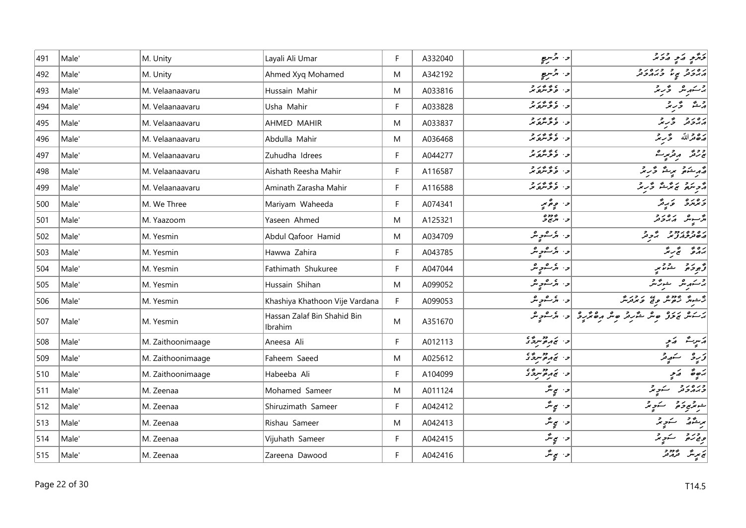| 491 | Male' | M. Unity          | Layali Ali Umar                        | F. | A332040 | -<br> و· اگر سرچ                      | دَيَرْ پِهِ پِهِ دِرْ پُرْ                                            |
|-----|-------|-------------------|----------------------------------------|----|---------|---------------------------------------|-----------------------------------------------------------------------|
| 492 | Male' | M. Unity          | Ahmed Xyq Mohamed                      | M  | A342192 | ا د .<br>او . مرس                     | גפגב <sub>בצ</sub> ב בגםגב<br>הגבע <sub>בצ</sub> ע בגהכת              |
| 493 | Male' | M. Velaanaavaru   | Hussain Mahir                          | M  | A033816 | ە ئەنەر دەر<br>د ئەمەتلىرى            | 2 سەر سىر مەر بۇ <i>ي</i>                                             |
| 494 | Male' | M. Velaanaavaru   | Usha Mahir                             | F  | A033828 | ە ئەنەر د                             | المشتك وحريمه                                                         |
| 495 | Male' | M. Velaanaavaru   | AHMED MAHIR                            | M  | A033837 | ە ئەنەر د                             | رەر ۋرىر                                                              |
| 496 | Male' | M. Velaanaavaru   | Abdulla Mahir                          | M  | A036468 | ى ئەم ئەرىرى<br><i>تى ئى</i> ر ئىرىمى | مَەھْتَراللَّه دَّرىتْر                                               |
| 497 | Male' | M. Velaanaavaru   | Zuhudha Idrees                         | F  | A044277 | ى ئەھەر د                             | و وي <sub>و</sub> پروژمړے<br>م                                        |
| 498 | Male' | M. Velaanaavaru   | Aishath Reesha Mahir                   | F  | A116587 | ە ئەنەرىرە<br>د ئەنۇشى ئىر            | أأوشكم برسة كربر                                                      |
| 499 | Male' | M. Velaanaavaru   | Aminath Zarasha Mahir                  | F  | A116588 | ە ئەنەرىرە<br>د ئەنۇشى ئىر            | הקיימי היה בית                                                        |
| 500 | Male' | M. We Three       | Mariyam Waheeda                        | F  | A074341 | و· وه پر                              | أرەرە كەيد                                                            |
| 501 | Male' | M. Yaazoom        | Yaseen Ahmed                           | M  | A125321 | ה המים<br>כי ח"ש ב                    | وگریا در در در د                                                      |
| 502 | Male' | M. Yesmin         | Abdul Qafoor Hamid                     | M  | A034709 | و. پڙڪوپڙ                             | ره כه ردد د به د<br>په <i>ه تر فرن</i> د برگر تر                      |
| 503 | Male' | M. Yesmin         | Hawwa Zahira                           | F  | A043785 | د. ټرگوپر                             | برە ئەرىئە                                                            |
| 504 | Male' | M. Yesmin         | Fathimath Shukuree                     | F  | A047044 | د. پڙڪوپڙ                             | أزَّهِ دَمَ صَنْعَتِهِ                                                |
| 505 | Male' | M. Yesmin         | Hussain Shihan                         | M  | A099052 | -<br> - مرڪوپر                        | جەسكەر شەركىتى<br>مەسىر                                               |
| 506 | Male' | M. Yesmin         | Khashiya Khathoon Vije Vardana         | F  | A099053 | و. پر مشوپیر                          | ري د دوده ده د در د<br>د شوار نومر و نا و برور                        |
| 507 | Male' | M. Yesmin         | Hassan Zalaf Bin Shahid Bin<br>Ibrahim | M  | A351670 |                                       | برسوم بروه صغر مشررته صغر مصغره والمسور مر                            |
| 508 | Male' | M. Zaithoonimaage | Aneesa Ali                             | F  | A012113 | כי המקיימות בי                        | أرسرت أركمي                                                           |
| 509 | Male' | M. Zaithoonimaage | Faheem Saeed                           | M  | A025612 | בי המפיתבל                            | ۇرۇ سەمدۇر                                                            |
| 510 | Male' | M. Zaithoonimaage | Habeeba Ali                            | F  | A104099 | בי המיתי מבי                          | $\frac{1}{2}$ $\frac{1}{2}$ $\frac{1}{2}$ $\frac{1}{2}$ $\frac{1}{2}$ |
| 511 | Male' | M. Zeenaa         | Mohamed Sameer                         | M  | A011124 | اح میچ میٹر<br>مسلسلہ                 | و ره ر و<br>و پرو و تر<br>سكويتر                                      |
| 512 | Male' | M. Zeenaa         | Shiruzimath Sameer                     | F  | A042412 | د ، پې تگر                            | ھوپر پر جو جي ڪچو پر                                                  |
| 513 | Male' | M. Zeenaa         | Rishau Sameer                          | M  | A042413 | د <sub>ب</sub> م پر                   | ىرىشە كەرلىر                                                          |
| 514 | Male' | M. Zeenaa         | Vijuhath Sameer                        | F. | A042415 | او. م <sub>ومثر</sub><br>——           | و و ر د<br>و قریره<br>سەھ پر                                          |
| 515 | Male' | M. Zeenaa         | Zareena Dawood                         | F. | A042416 | اح ۽ ميڙ<br>—                         | ر<br>بح موسر محمد محمد معر                                            |
|     |       |                   |                                        |    |         |                                       |                                                                       |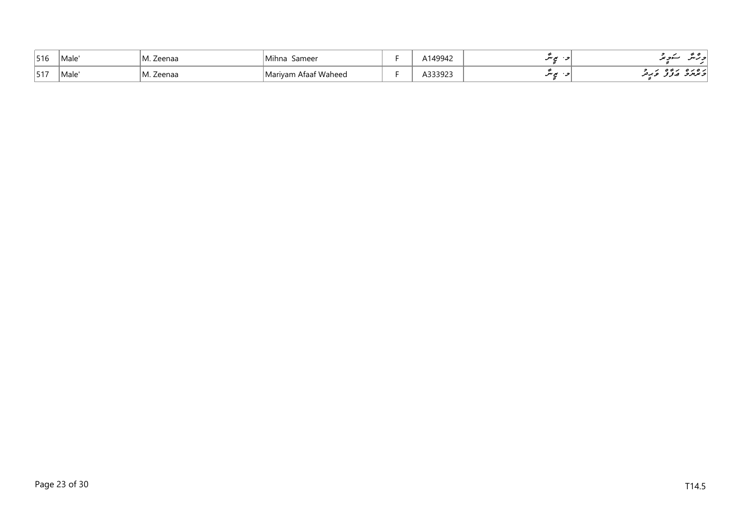| 516                   | Male | .0002<br>∠eenaa<br>'IV.  | Mihna,<br>Samee <sup>r</sup> | $1499A^T$       | . . | $\sim$ $\sim$<br>. |
|-----------------------|------|--------------------------|------------------------------|-----------------|-----|--------------------|
| <b>F17</b><br>، ۱ ر ۱ | Male | .0002<br>_eenaa<br>∖ IVI | Ataat Waheed<br>arivam       | :רחכככ<br>もこここと |     | フプメフ               |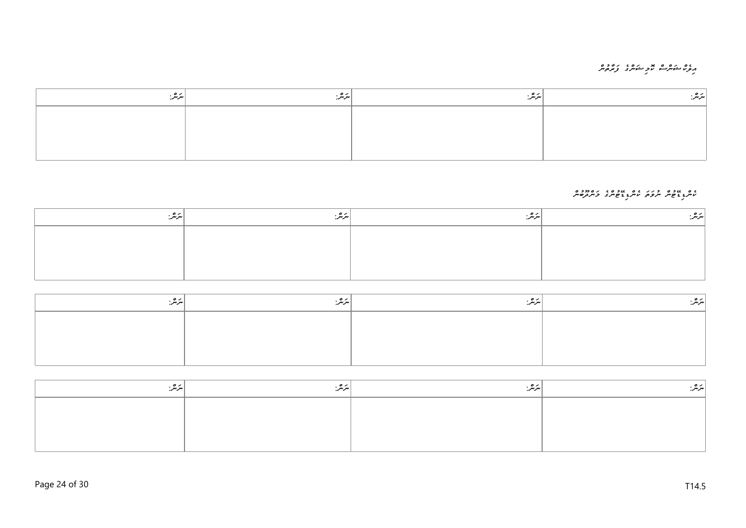## *w7qAn8m?sCw7mRo>u;wEw7mRw;sBo<*

| ' مرمر | 'يئرىثر: |
|--------|----------|
|        |          |
|        |          |
|        |          |

## *w7q9r@w7m>sCw7qHtFoFw7s;mAm=q7w7qHtFoFw7s;*

| ىر تە | $\mathcal{O} \times$<br>$\sim$ | $\sim$<br>. . | لترنثر |
|-------|--------------------------------|---------------|--------|
|       |                                |               |        |
|       |                                |               |        |
|       |                                |               |        |

| $\frac{2}{n}$ | $\overline{\phantom{a}}$ | اير هنه. | $\mathcal{O} \times$<br>سرسر |
|---------------|--------------------------|----------|------------------------------|
|               |                          |          |                              |
|               |                          |          |                              |
|               |                          |          |                              |

| ' ئىرتىر: | سر سر |  |
|-----------|-------|--|
|           |       |  |
|           |       |  |
|           |       |  |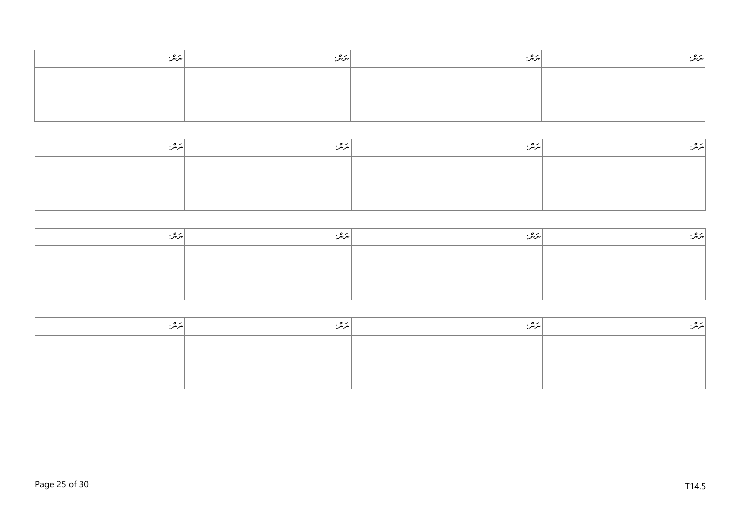| يره. | ο. | ا ير ه |  |
|------|----|--------|--|
|      |    |        |  |
|      |    |        |  |
|      |    |        |  |

| متريثر به | 。<br>َ سرسر ِ | يتزيترا | سرسر |
|-----------|---------------|---------|------|
|           |               |         |      |
|           |               |         |      |
|           |               |         |      |

| ىرتىر: | $\sim$ | ا بر هه. | لىرىش |
|--------|--------|----------|-------|
|        |        |          |       |
|        |        |          |       |
|        |        |          |       |

| 。<br>مرس. | $\overline{\phantom{a}}$<br>مر مىر | يتريثر |
|-----------|------------------------------------|--------|
|           |                                    |        |
|           |                                    |        |
|           |                                    |        |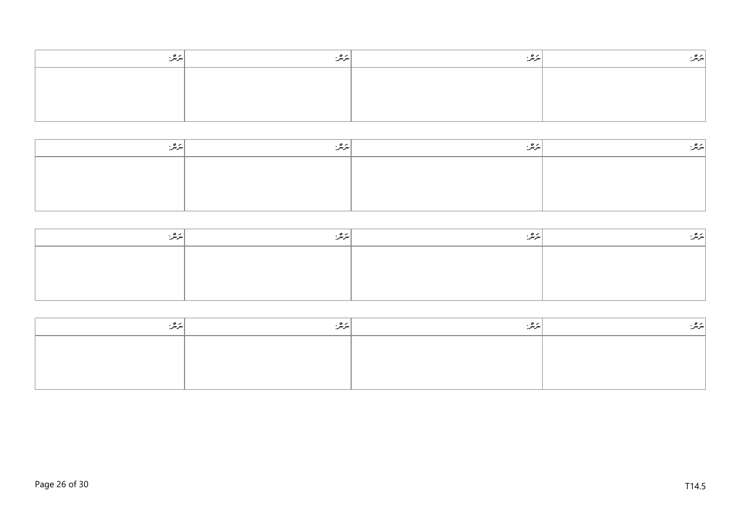| ير هو . | $\overline{\phantom{a}}$ | يرمر | اير هنه. |
|---------|--------------------------|------|----------|
|         |                          |      |          |
|         |                          |      |          |
|         |                          |      |          |

| ئىرتىر: | $\sim$<br>ا سرسر . | يئرمثر | o . |
|---------|--------------------|--------|-----|
|         |                    |        |     |
|         |                    |        |     |
|         |                    |        |     |

| انترنثر: | ر ه |  |
|----------|-----|--|
|          |     |  |
|          |     |  |
|          |     |  |

|  | . ه |
|--|-----|
|  |     |
|  |     |
|  |     |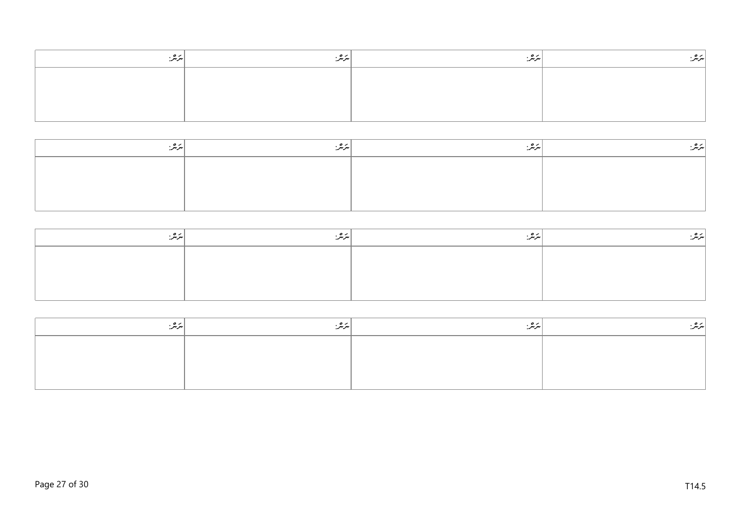| ير هو . | $\overline{\phantom{a}}$ | يرمر | اير هنه. |
|---------|--------------------------|------|----------|
|         |                          |      |          |
|         |                          |      |          |
|         |                          |      |          |

| ئىرتىر: | $\sim$<br>ا سرسر . | يئرمثر | o . |
|---------|--------------------|--------|-----|
|         |                    |        |     |
|         |                    |        |     |
|         |                    |        |     |

| الترنثر: | ' مرتكز: | الترنثر: | .,<br>سرسر. |
|----------|----------|----------|-------------|
|          |          |          |             |
|          |          |          |             |
|          |          |          |             |

|  | . ه |
|--|-----|
|  |     |
|  |     |
|  |     |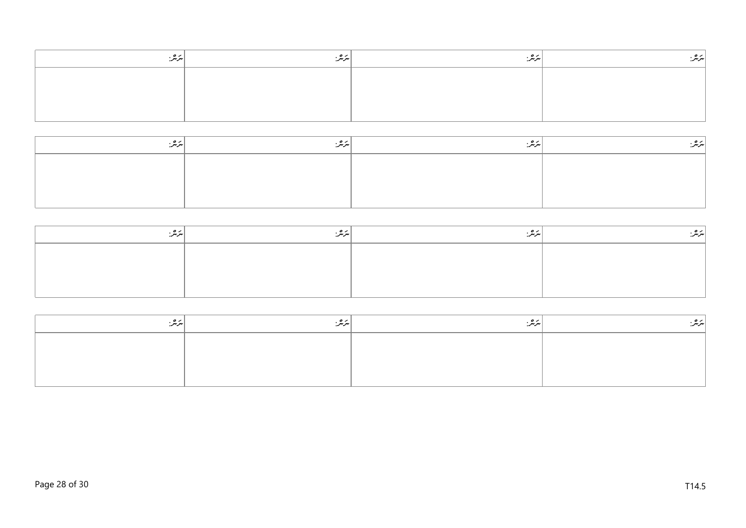| $\cdot$ | ο. | $\frac{\circ}{\cdot}$ | $\sim$<br>سرسر |
|---------|----|-----------------------|----------------|
|         |    |                       |                |
|         |    |                       |                |
|         |    |                       |                |

| ايرعر: | ر ه<br>. . |  |
|--------|------------|--|
|        |            |  |
|        |            |  |
|        |            |  |

| بر ه | 。 | $\sim$<br>َ سومس |  |
|------|---|------------------|--|
|      |   |                  |  |
|      |   |                  |  |
|      |   |                  |  |

| 。<br>. س | ىرىىر |  |
|----------|-------|--|
|          |       |  |
|          |       |  |
|          |       |  |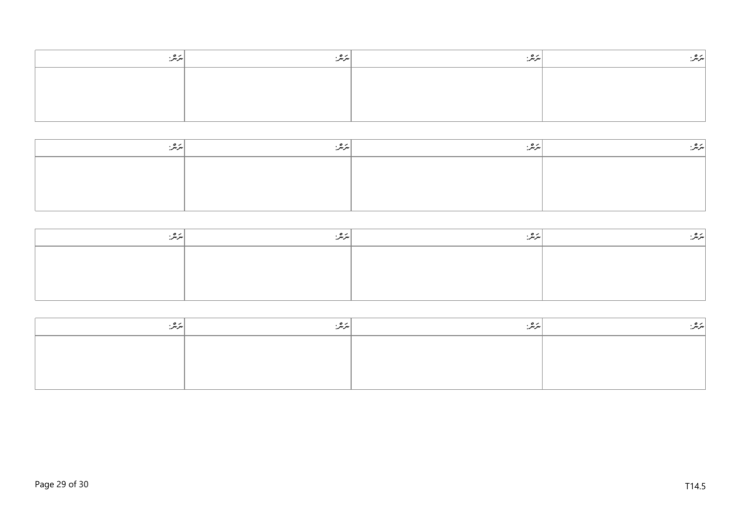| ير هو . | $\overline{\phantom{a}}$ | يرمر | لتزمثن |
|---------|--------------------------|------|--------|
|         |                          |      |        |
|         |                          |      |        |
|         |                          |      |        |

| ئىرتىر: | $\sim$<br>ا سرسر . | يئرمثر | o . |
|---------|--------------------|--------|-----|
|         |                    |        |     |
|         |                    |        |     |
|         |                    |        |     |

| انترنثر: | ر ه |  |
|----------|-----|--|
|          |     |  |
|          |     |  |
|          |     |  |

|  | . ه |
|--|-----|
|  |     |
|  |     |
|  |     |